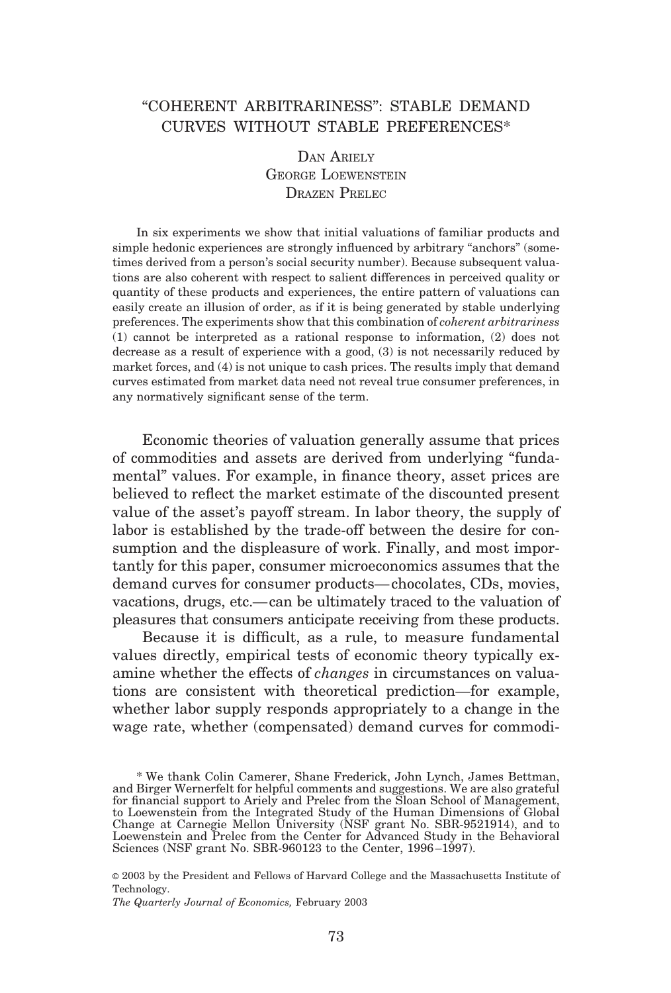# "COHERENT ARBITRARINESS": STABLE DEMAND CURVES WITHOUT STABLE PREFERENCES\*

DAN ARIELY GEORGE LOEWENSTEIN DRAZEN PRELEC

In six experiments we show that initial valuations of familiar products and simple hedonic experiences are strongly influenced by arbitrary "anchors" (sometimes derived from a person's social security number). Because subsequent valuations are also coherent with respect to salient differences in perceived quality or quantity of these products and experiences, the entire pattern of valuations can easily create an illusion of order, as if it is being generated by stable underlying preferences. The experiments show that this combination of *coherent arbitrariness* (1) cannot be interpreted as a rational response to information, (2) does not decrease as a result of experience with a good, (3) is not necessarily reduced by market forces, and (4) is not unique to cash prices. The results imply that demand curves estimated from market data need not reveal true consumer preferences, in any normatively significant sense of the term.

Economic theories of valuation generally assume that prices of commodities and assets are derived from underlying "fundamental" values. For example, in finance theory, asset prices are believed to reflect the market estimate of the discounted present value of the asset's payoff stream. In labor theory, the supply of labor is established by the trade-off between the desire for consumption and the displeasure of work. Finally, and most importantly for this paper, consumer microeconomics assumes that the demand curves for consumer products—chocolates, CDs, movies, vacations, drugs, etc.—can be ultimately traced to the valuation of pleasures that consumers anticipate receiving from these products.

Because it is difficult, as a rule, to measure fundamental values directly, empirical tests of economic theory typically examine whether the effects of *changes* in circumstances on valuations are consistent with theoretical prediction—for example, whether labor supply responds appropriately to a change in the wage rate, whether (compensated) demand curves for commodi-

<sup>\*</sup> We thank Colin Camerer, Shane Frederick, John Lynch, James Bettman, and Birger Wernerfelt for helpful comments and suggestions. We are also grateful for financial support to Ariely and Prelec from the Sloan School of Management, to Loewenstein from the Integrated Study of the Human Dimensions of Global Change at Carnegie Mellon University (NSF grant No. SBR-9521914), and to Loewenstein and Prelec from the Center for Advanced Study in the Behavioral Sciences (NSF grant No. SBR-960123 to the Center, 1996–1997).

<sup>©</sup> 2003 by the President and Fellows of Harvard College and the Massachusetts Institute of Technology.

*The Quarterly Journal of Economics,* February 2003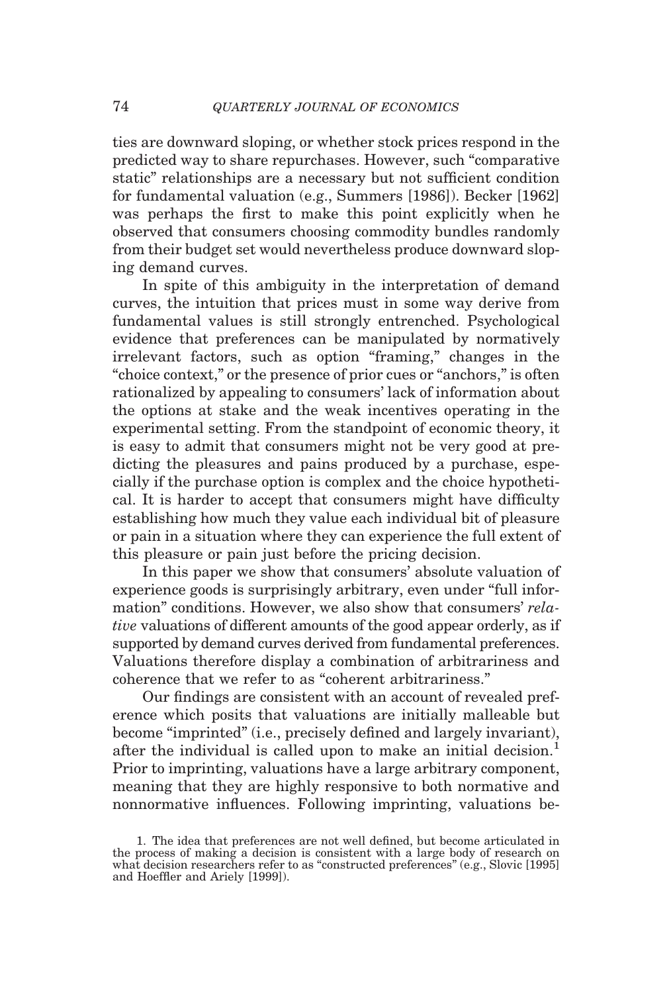ties are downward sloping, or whether stock prices respond in the predicted way to share repurchases. However, such "comparative static" relationships are a necessary but not sufficient condition for fundamental valuation (e.g., Summers [1986]). Becker [1962] was perhaps the first to make this point explicitly when he observed that consumers choosing commodity bundles randomly from their budget set would nevertheless produce downward sloping demand curves.

In spite of this ambiguity in the interpretation of demand curves, the intuition that prices must in some way derive from fundamental values is still strongly entrenched. Psychological evidence that preferences can be manipulated by normatively irrelevant factors, such as option "framing," changes in the "choice context," or the presence of prior cues or "anchors," is often rationalized by appealing to consumers' lack of information about the options at stake and the weak incentives operating in the experimental setting. From the standpoint of economic theory, it is easy to admit that consumers might not be very good at predicting the pleasures and pains produced by a purchase, especially if the purchase option is complex and the choice hypothetical. It is harder to accept that consumers might have difficulty establishing how much they value each individual bit of pleasure or pain in a situation where they can experience the full extent of this pleasure or pain just before the pricing decision.

In this paper we show that consumers' absolute valuation of experience goods is surprisingly arbitrary, even under "full information" conditions. However, we also show that consumers' *relative* valuations of different amounts of the good appear orderly, as if supported by demand curves derived from fundamental preferences. Valuations therefore display a combination of arbitrariness and coherence that we refer to as "coherent arbitrariness."

Our findings are consistent with an account of revealed preference which posits that valuations are initially malleable but become "imprinted" (i.e., precisely defined and largely invariant), after the individual is called upon to make an initial decision.<sup>1</sup> Prior to imprinting, valuations have a large arbitrary component, meaning that they are highly responsive to both normative and nonnormative influences. Following imprinting, valuations be-

<sup>1.</sup> The idea that preferences are not well defined, but become articulated in the process of making a decision is consistent with a large body of research on what decision researchers refer to as "constructed preferences" (e.g., Slovic [1995] and Hoeffler and Ariely [1999]).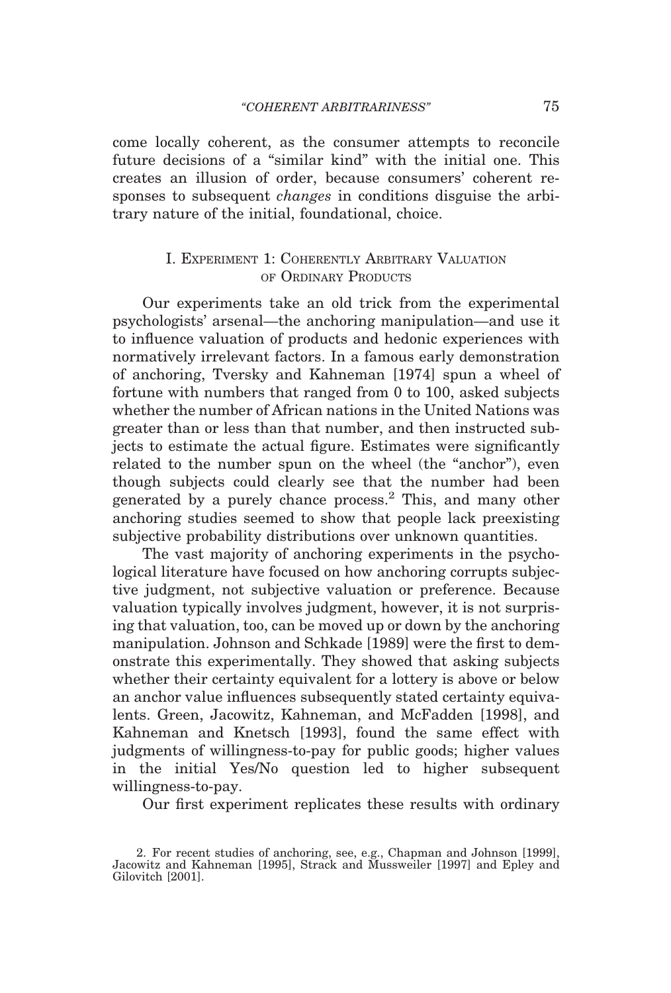come locally coherent, as the consumer attempts to reconcile future decisions of a "similar kind" with the initial one. This creates an illusion of order, because consumers' coherent responses to subsequent *changes* in conditions disguise the arbitrary nature of the initial, foundational, choice.

## I. EXPERIMENT 1: COHERENTLY ARBITRARY VALUATION OF ORDINARY PRODUCTS

Our experiments take an old trick from the experimental psychologists' arsenal—the anchoring manipulation—and use it to influence valuation of products and hedonic experiences with normatively irrelevant factors. In a famous early demonstration of anchoring, Tversky and Kahneman [1974] spun a wheel of fortune with numbers that ranged from 0 to 100, asked subjects whether the number of African nations in the United Nations was greater than or less than that number, and then instructed subjects to estimate the actual figure. Estimates were significantly related to the number spun on the wheel (the "anchor"), even though subjects could clearly see that the number had been generated by a purely chance process.<sup>2</sup> This, and many other anchoring studies seemed to show that people lack preexisting subjective probability distributions over unknown quantities.

The vast majority of anchoring experiments in the psychological literature have focused on how anchoring corrupts subjective judgment, not subjective valuation or preference. Because valuation typically involves judgment, however, it is not surprising that valuation, too, can be moved up or down by the anchoring manipulation. Johnson and Schkade [1989] were the first to demonstrate this experimentally. They showed that asking subjects whether their certainty equivalent for a lottery is above or below an anchor value influences subsequently stated certainty equivalents. Green, Jacowitz, Kahneman, and McFadden [1998], and Kahneman and Knetsch [1993], found the same effect with judgments of willingness-to-pay for public goods; higher values in the initial Yes/No question led to higher subsequent willingness-to-pay.

Our first experiment replicates these results with ordinary

<sup>2.</sup> For recent studies of anchoring, see, e.g., Chapman and Johnson [1999], Jacowitz and Kahneman [1995], Strack and Mussweiler [1997] and Epley and Gilovitch [2001].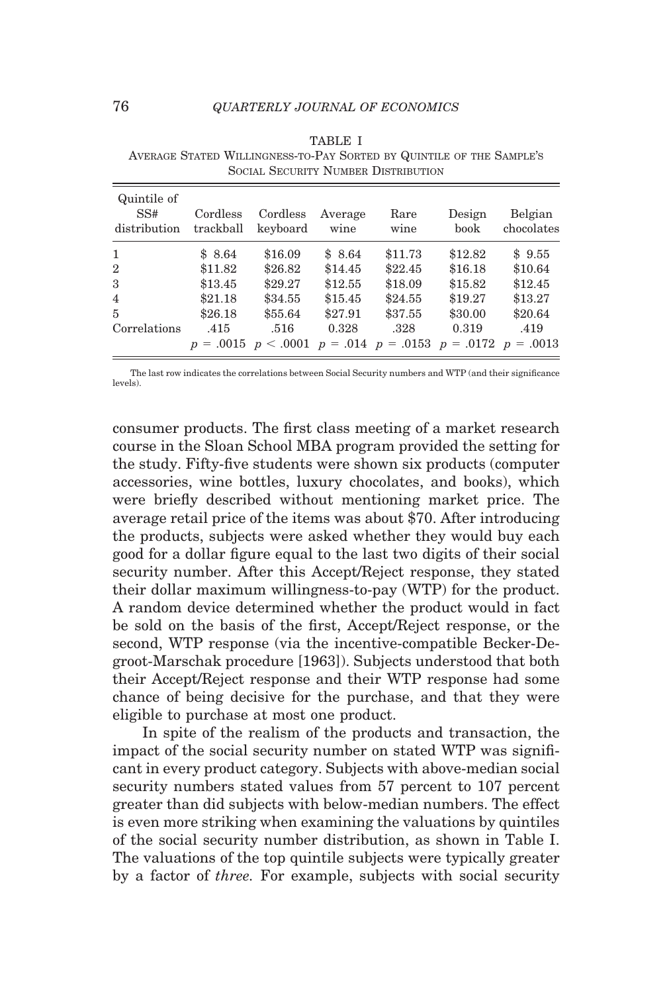| Quintile of<br>SS#<br>distribution | Cordless<br>trackball | Cordless<br>keyboard | Average<br>wine | Rare<br>wine                                                           | Design<br>book | Belgian<br>chocolates |
|------------------------------------|-----------------------|----------------------|-----------------|------------------------------------------------------------------------|----------------|-----------------------|
| $\mathbf{1}$                       | \$8.64                | \$16.09              | \$8.64          | \$11.73                                                                | \$12.82        | \$9.55                |
| $\overline{2}$                     | \$11.82               | \$26.82              | \$14.45         | \$22.45                                                                | \$16.18        | \$10.64               |
| 3                                  | \$13.45               | \$29.27              | \$12.55         | \$18.09                                                                | \$15.82        | \$12.45               |
| $\overline{4}$                     | \$21.18               | \$34.55              | \$15.45         | \$24.55                                                                | \$19.27        | \$13.27               |
| 5                                  | \$26.18               | \$55.64              | \$27.91         | \$37.55                                                                | \$30.00        | \$20.64               |
| Correlations                       | .415                  | .516                 | 0.328           | .328                                                                   | 0.319          | .419                  |
|                                    |                       |                      |                 | $p = .0015$ $p < .0001$ $p = .014$ $p = .0153$ $p = .0172$ $p = .0013$ |                |                       |

TABLE I AVERAGE STATED WILLINGNESS-TO-PAY SORTED BY QUINTILE OF THE SAMPLE'S SOCIAL SECURITY NUMBER DISTRIBUTION

The last row indicates the correlations between Social Security numbers and WTP (and their significance levels).

consumer products. The first class meeting of a market research course in the Sloan School MBA program provided the setting for the study. Fifty-five students were shown six products (computer accessories, wine bottles, luxury chocolates, and books), which were briefly described without mentioning market price. The average retail price of the items was about \$70. After introducing the products, subjects were asked whether they would buy each good for a dollar figure equal to the last two digits of their social security number. After this Accept/Reject response, they stated their dollar maximum willingness-to-pay (WTP) for the product. A random device determined whether the product would in fact be sold on the basis of the first, Accept/Reject response, or the second, WTP response (via the incentive-compatible Becker-Degroot-Marschak procedure [1963]). Subjects understood that both their Accept/Reject response and their WTP response had some chance of being decisive for the purchase, and that they were eligible to purchase at most one product.

In spite of the realism of the products and transaction, the impact of the social security number on stated WTP was significant in every product category. Subjects with above-median social security numbers stated values from 57 percent to 107 percent greater than did subjects with below-median numbers. The effect is even more striking when examining the valuations by quintiles of the social security number distribution, as shown in Table I. The valuations of the top quintile subjects were typically greater by a factor of *three.* For example, subjects with social security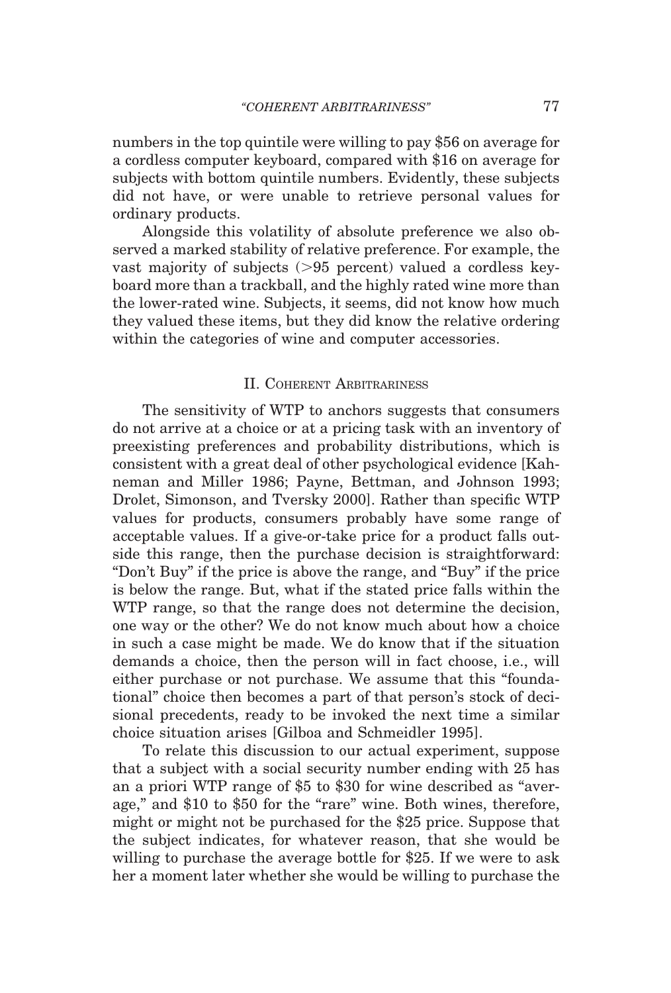numbers in the top quintile were willing to pay \$56 on average for a cordless computer keyboard, compared with \$16 on average for subjects with bottom quintile numbers. Evidently, these subjects did not have, or were unable to retrieve personal values for ordinary products.

Alongside this volatility of absolute preference we also observed a marked stability of relative preference. For example, the vast majority of subjects (95 percent) valued a cordless keyboard more than a trackball, and the highly rated wine more than the lower-rated wine. Subjects, it seems, did not know how much they valued these items, but they did know the relative ordering within the categories of wine and computer accessories.

### II. COHERENT ARBITRARINESS

The sensitivity of WTP to anchors suggests that consumers do not arrive at a choice or at a pricing task with an inventory of preexisting preferences and probability distributions, which is consistent with a great deal of other psychological evidence [Kahneman and Miller 1986; Payne, Bettman, and Johnson 1993; Drolet, Simonson, and Tversky 2000]. Rather than specific WTP values for products, consumers probably have some range of acceptable values. If a give-or-take price for a product falls outside this range, then the purchase decision is straightforward: "Don't Buy" if the price is above the range, and "Buy" if the price is below the range. But, what if the stated price falls within the WTP range, so that the range does not determine the decision, one way or the other? We do not know much about how a choice in such a case might be made. We do know that if the situation demands a choice, then the person will in fact choose, i.e., will either purchase or not purchase. We assume that this "foundational" choice then becomes a part of that person's stock of decisional precedents, ready to be invoked the next time a similar choice situation arises [Gilboa and Schmeidler 1995].

To relate this discussion to our actual experiment, suppose that a subject with a social security number ending with 25 has an a priori WTP range of \$5 to \$30 for wine described as "average," and \$10 to \$50 for the "rare" wine. Both wines, therefore, might or might not be purchased for the \$25 price. Suppose that the subject indicates, for whatever reason, that she would be willing to purchase the average bottle for \$25. If we were to ask her a moment later whether she would be willing to purchase the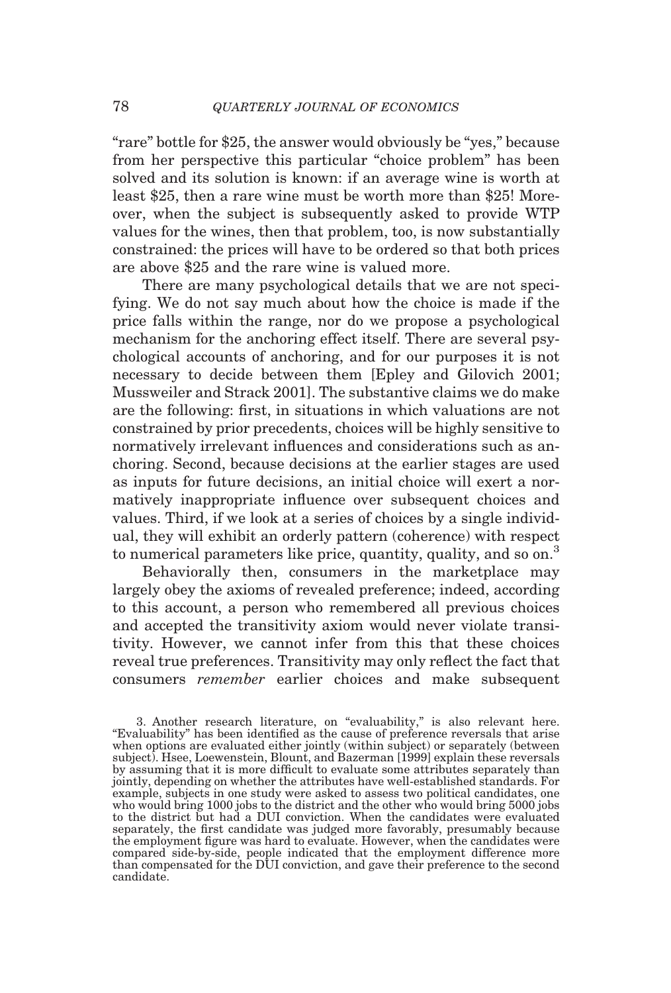"rare" bottle for \$25, the answer would obviously be "yes," because from her perspective this particular "choice problem" has been solved and its solution is known: if an average wine is worth at least \$25, then a rare wine must be worth more than \$25! Moreover, when the subject is subsequently asked to provide WTP values for the wines, then that problem, too, is now substantially constrained: the prices will have to be ordered so that both prices are above \$25 and the rare wine is valued more.

There are many psychological details that we are not specifying. We do not say much about how the choice is made if the price falls within the range, nor do we propose a psychological mechanism for the anchoring effect itself. There are several psychological accounts of anchoring, and for our purposes it is not necessary to decide between them [Epley and Gilovich 2001; Mussweiler and Strack 2001]. The substantive claims we do make are the following: first, in situations in which valuations are not constrained by prior precedents, choices will be highly sensitive to normatively irrelevant influences and considerations such as anchoring. Second, because decisions at the earlier stages are used as inputs for future decisions, an initial choice will exert a normatively inappropriate influence over subsequent choices and values. Third, if we look at a series of choices by a single individual, they will exhibit an orderly pattern (coherence) with respect to numerical parameters like price, quantity, quality, and so on.<sup>3</sup>

Behaviorally then, consumers in the marketplace may largely obey the axioms of revealed preference; indeed, according to this account, a person who remembered all previous choices and accepted the transitivity axiom would never violate transitivity. However, we cannot infer from this that these choices reveal true preferences. Transitivity may only reflect the fact that consumers *remember* earlier choices and make subsequent

<sup>3.</sup> Another research literature, on "evaluability," is also relevant here. "Evaluability" has been identified as the cause of preference reversals that arise when options are evaluated either jointly (within subject) or separately (between subject). Hsee, Loewenstein, Blount, and Bazerman [1999] explain these reversals by assuming that it is more difficult to evaluate some attributes separately than jointly, depending on whether the attributes have well-established standards. For example, subjects in one study were asked to assess two political candidates, one<br>who would bring 1000 jobs to the district and the other who would bring 5000 jobs<br>to the district but had a DUI conviction. When the candida separately, the first candidate was judged more favorably, presumably because the employment figure was hard to evaluate. However, when the candidates were compared side-by-side, people indicated that the employment difference more than compensated for the DUI conviction, and gave their preference to the second candidate.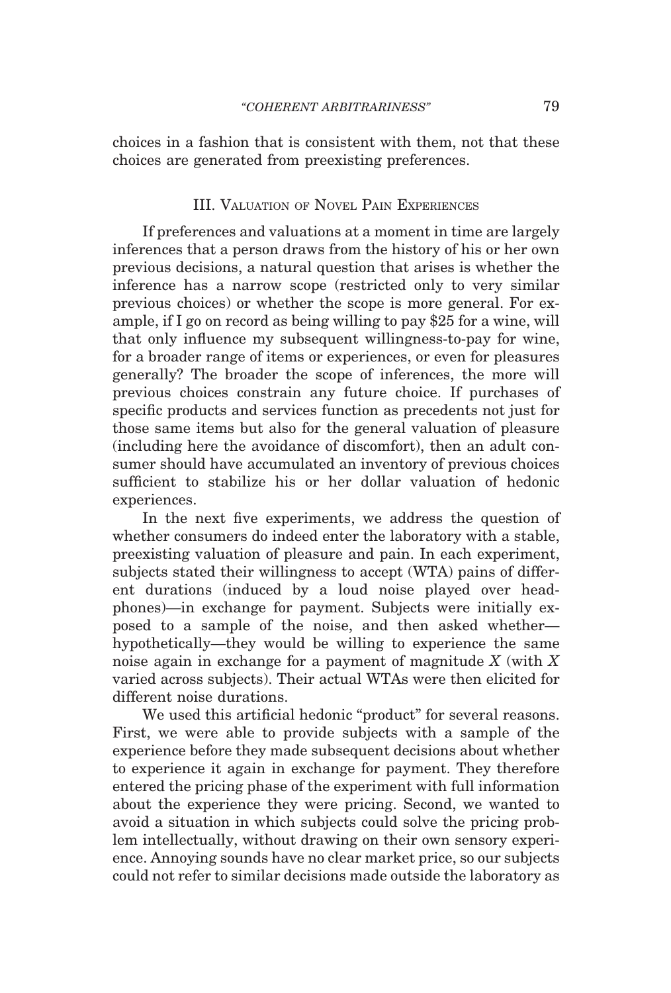choices in a fashion that is consistent with them, not that these choices are generated from preexisting preferences.

## III. VALUATION OF NOVEL PAIN EXPERIENCES

If preferences and valuations at a moment in time are largely inferences that a person draws from the history of his or her own previous decisions, a natural question that arises is whether the inference has a narrow scope (restricted only to very similar previous choices) or whether the scope is more general. For example, if I go on record as being willing to pay \$25 for a wine, will that only influence my subsequent willingness-to-pay for wine, for a broader range of items or experiences, or even for pleasures generally? The broader the scope of inferences, the more will previous choices constrain any future choice. If purchases of specific products and services function as precedents not just for those same items but also for the general valuation of pleasure (including here the avoidance of discomfort), then an adult consumer should have accumulated an inventory of previous choices sufficient to stabilize his or her dollar valuation of hedonic experiences.

In the next five experiments, we address the question of whether consumers do indeed enter the laboratory with a stable, preexisting valuation of pleasure and pain. In each experiment, subjects stated their willingness to accept (WTA) pains of different durations (induced by a loud noise played over headphones)—in exchange for payment. Subjects were initially exposed to a sample of the noise, and then asked whether hypothetically—they would be willing to experience the same noise again in exchange for a payment of magnitude *X* (with *X* varied across subjects). Their actual WTAs were then elicited for different noise durations.

We used this artificial hedonic "product" for several reasons. First, we were able to provide subjects with a sample of the experience before they made subsequent decisions about whether to experience it again in exchange for payment. They therefore entered the pricing phase of the experiment with full information about the experience they were pricing. Second, we wanted to avoid a situation in which subjects could solve the pricing problem intellectually, without drawing on their own sensory experience. Annoying sounds have no clear market price, so our subjects could not refer to similar decisions made outside the laboratory as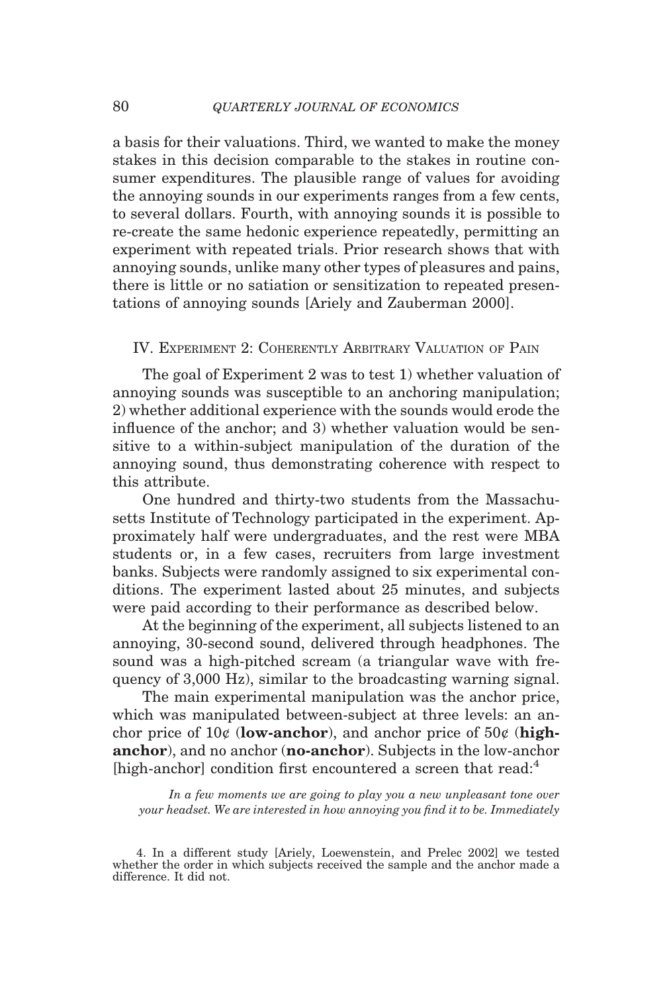a basis for their valuations. Third, we wanted to make the money stakes in this decision comparable to the stakes in routine consumer expenditures. The plausible range of values for avoiding the annoying sounds in our experiments ranges from a few cents, to several dollars. Fourth, with annoying sounds it is possible to re-create the same hedonic experience repeatedly, permitting an experiment with repeated trials. Prior research shows that with annoying sounds, unlike many other types of pleasures and pains, there is little or no satiation or sensitization to repeated presentations of annoying sounds [Ariely and Zauberman 2000].

## IV. EXPERIMENT 2: COHERENTLY ARBITRARY VALUATION OF PAIN

The goal of Experiment 2 was to test 1) whether valuation of annoying sounds was susceptible to an anchoring manipulation; 2) whether additional experience with the sounds would erode the influence of the anchor; and 3) whether valuation would be sensitive to a within-subject manipulation of the duration of the annoying sound, thus demonstrating coherence with respect to this attribute.

One hundred and thirty-two students from the Massachusetts Institute of Technology participated in the experiment. Approximately half were undergraduates, and the rest were MBA students or, in a few cases, recruiters from large investment banks. Subjects were randomly assigned to six experimental conditions. The experiment lasted about 25 minutes, and subjects were paid according to their performance as described below.

At the beginning of the experiment, all subjects listened to an annoying, 30-second sound, delivered through headphones. The sound was a high-pitched scream (a triangular wave with frequency of 3,000 Hz), similar to the broadcasting warning signal.

The main experimental manipulation was the anchor price, which was manipulated between-subject at three levels: an anchor price of 10¢ (**low-anchor**), and anchor price of 50¢ (**highanchor**), and no anchor (**no-anchor**). Subjects in the low-anchor [high-anchor] condition first encountered a screen that read:<sup>4</sup>

*In a few moments we are going to play you a new unpleasant tone over your headset. We are interested in how annoying you find it to be. Immediately*

4. In a different study [Ariely, Loewenstein, and Prelec 2002] we tested whether the order in which subjects received the sample and the anchor made a difference. It did not.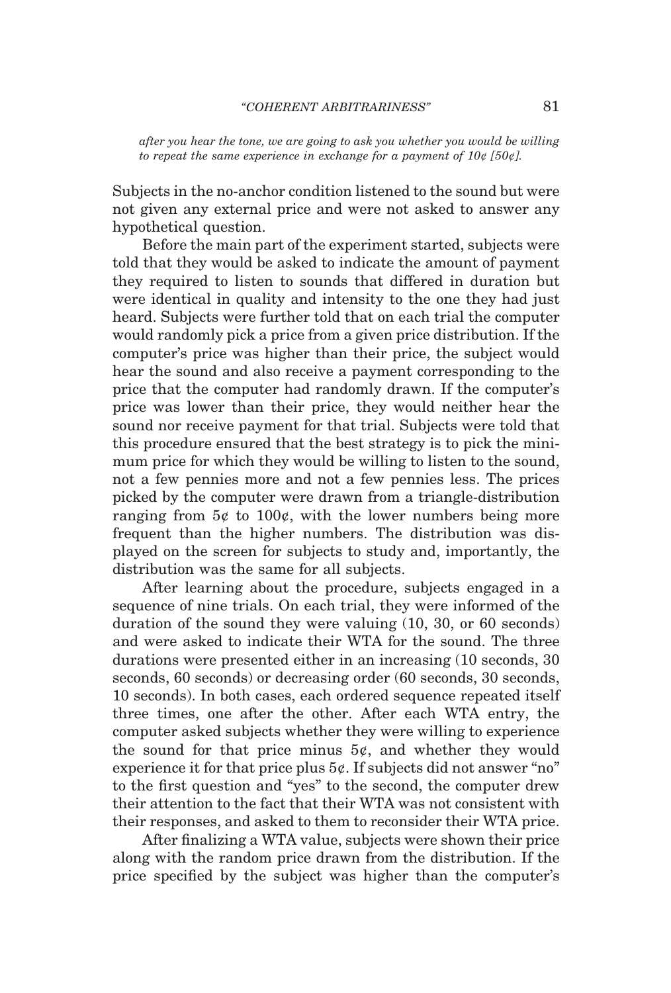*after you hear the tone, we are going to ask you whether you would be willing to repeat the same experience in exchange for a payment of 10¢ [50¢].*

Subjects in the no-anchor condition listened to the sound but were not given any external price and were not asked to answer any hypothetical question.

Before the main part of the experiment started, subjects were told that they would be asked to indicate the amount of payment they required to listen to sounds that differed in duration but were identical in quality and intensity to the one they had just heard. Subjects were further told that on each trial the computer would randomly pick a price from a given price distribution. If the computer's price was higher than their price, the subject would hear the sound and also receive a payment corresponding to the price that the computer had randomly drawn. If the computer's price was lower than their price, they would neither hear the sound nor receive payment for that trial. Subjects were told that this procedure ensured that the best strategy is to pick the minimum price for which they would be willing to listen to the sound, not a few pennies more and not a few pennies less. The prices picked by the computer were drawn from a triangle-distribution ranging from  $5¢$  to  $100¢$ , with the lower numbers being more frequent than the higher numbers. The distribution was displayed on the screen for subjects to study and, importantly, the distribution was the same for all subjects.

After learning about the procedure, subjects engaged in a sequence of nine trials. On each trial, they were informed of the duration of the sound they were valuing (10, 30, or 60 seconds) and were asked to indicate their WTA for the sound. The three durations were presented either in an increasing (10 seconds, 30 seconds, 60 seconds) or decreasing order (60 seconds, 30 seconds, 10 seconds). In both cases, each ordered sequence repeated itself three times, one after the other. After each WTA entry, the computer asked subjects whether they were willing to experience the sound for that price minus  $5¢$ , and whether they would experience it for that price plus 5¢. If subjects did not answer "no" to the first question and "yes" to the second, the computer drew their attention to the fact that their WTA was not consistent with their responses, and asked to them to reconsider their WTA price.

After finalizing a WTA value, subjects were shown their price along with the random price drawn from the distribution. If the price specified by the subject was higher than the computer's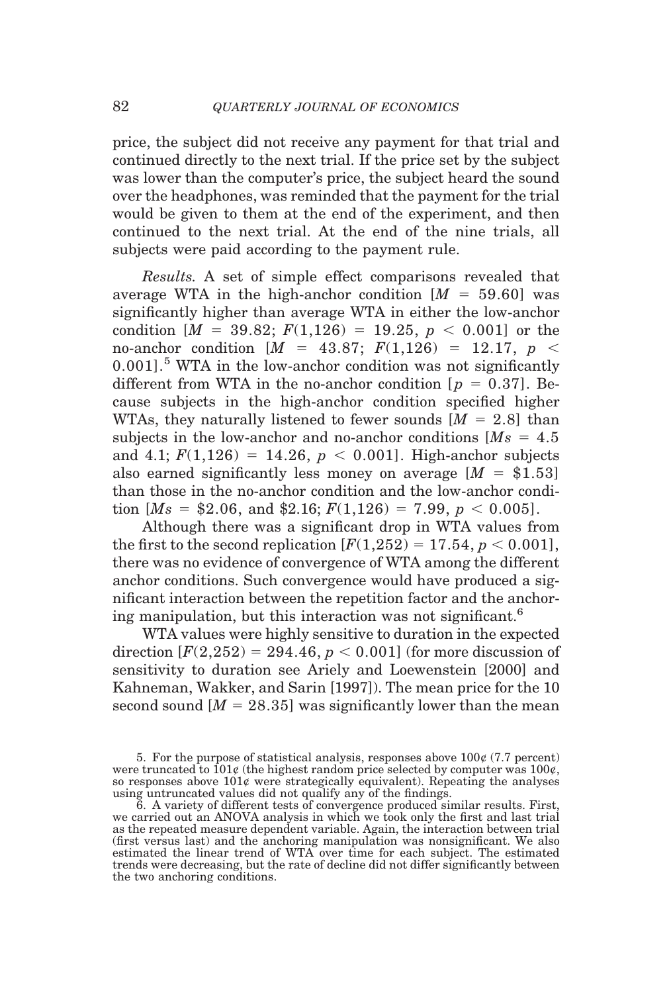price, the subject did not receive any payment for that trial and continued directly to the next trial. If the price set by the subject was lower than the computer's price, the subject heard the sound over the headphones, was reminded that the payment for the trial would be given to them at the end of the experiment, and then continued to the next trial. At the end of the nine trials, all subjects were paid according to the payment rule.

*Results.* A set of simple effect comparisons revealed that average WTA in the high-anchor condition  $[M = 59.60]$  was significantly higher than average WTA in either the low-anchor  $\text{condition} \; [M = 39.82; \; F(1,126) = 19.25, \; p \; < \; 0.001] \; \, \text{or} \; \, \text{the}$  ${\tt no\text{-}anchor\,\,\, condition \,\,\, [M\,\,\,=\,\,\,43.87; \,\,\,F(1,126) \,\,\,=\,\,\, 12.17, \,\,\, p \,\,\, \leq \,\, 12.17,}$ 0.001].<sup>5</sup> WTA in the low-anchor condition was not significantly different from WTA in the no-anchor condition  $[p = 0.37]$ . Because subjects in the high-anchor condition specified higher WTAs, they naturally listened to fewer sounds  $[M = 2.8]$  than subjects in the low-anchor and no-anchor conditions  $Ms = 4.5$ and 4.1;  $F(1,126) = 14.26, p < 0.001$ ]. High-anchor subjects also earned significantly less money on average  $[M = $1.53]$ than those in the no-anchor condition and the low-anchor condi- $\text{tion} \; [Ms = \$2.06, \, \text{and} \; \$2.16; \, F(1,126) = 7.99, \, p \, < \, 0.005].$ 

Although there was a significant drop in WTA values from  $\text{the first to the second replication} \ [F(1,252) = 17.54, p < 0.001],$ there was no evidence of convergence of WTA among the different anchor conditions. Such convergence would have produced a significant interaction between the repetition factor and the anchoring manipulation, but this interaction was not significant.6

WTA values were highly sensitive to duration in the expected  $\text{direction}\ [F(2,252)=294.46,\ p< 0.001]$  (for more discussion of sensitivity to duration see Ariely and Loewenstein [2000] and Kahneman, Wakker, and Sarin [1997]). The mean price for the 10 second sound  $[M = 28.35]$  was significantly lower than the mean

<sup>5.</sup> For the purpose of statistical analysis, responses above  $100¢$  (7.7 percent) were truncated to  $101\ell$  (the highest random price selected by computer was  $100\ell$ , so responses above  $101¢$  were strategically equivalent). Repeating the analyses

using untruncated values did not qualify any of the findings. 6. A variety of different tests of convergence produced similar results. First, we carried out an ANOVA analysis in which we took only the first and last trial as the repeated measure dependent variable. Again, the interaction between trial (first versus last) and the anchoring manipulation was nonsignificant. We also estimated the linear trend of WTA over time for each subject. The estimated trends were decreasing, but the rate of decline did not differ significantly between the two anchoring conditions.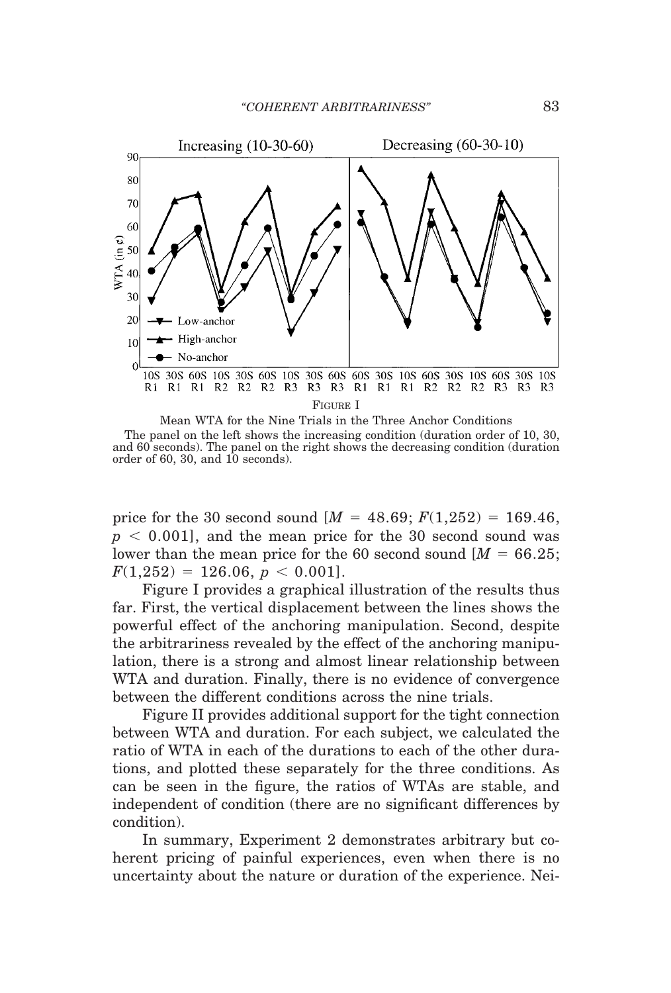

Mean WTA for the Nine Trials in the Three Anchor Conditions The panel on the left shows the increasing condition (duration order of 10, 30, and 60 seconds). The panel on the right shows the decreasing condition (duration order of 60, 30, and 10 seconds).

price for the 30 second sound  $[M = 48.69; F(1,252) = 169.46,$  $p < 0.001$ ], and the mean price for the 30 second sound was lower than the mean price for the 60 second sound  $M = 66.25$ ;  $F(1,252) = 126.06, p < 0.001$ ].

Figure I provides a graphical illustration of the results thus far. First, the vertical displacement between the lines shows the powerful effect of the anchoring manipulation. Second, despite the arbitrariness revealed by the effect of the anchoring manipulation, there is a strong and almost linear relationship between WTA and duration. Finally, there is no evidence of convergence between the different conditions across the nine trials.

Figure II provides additional support for the tight connection between WTA and duration. For each subject, we calculated the ratio of WTA in each of the durations to each of the other durations, and plotted these separately for the three conditions. As can be seen in the figure, the ratios of WTAs are stable, and independent of condition (there are no significant differences by condition).

In summary, Experiment 2 demonstrates arbitrary but coherent pricing of painful experiences, even when there is no uncertainty about the nature or duration of the experience. Nei-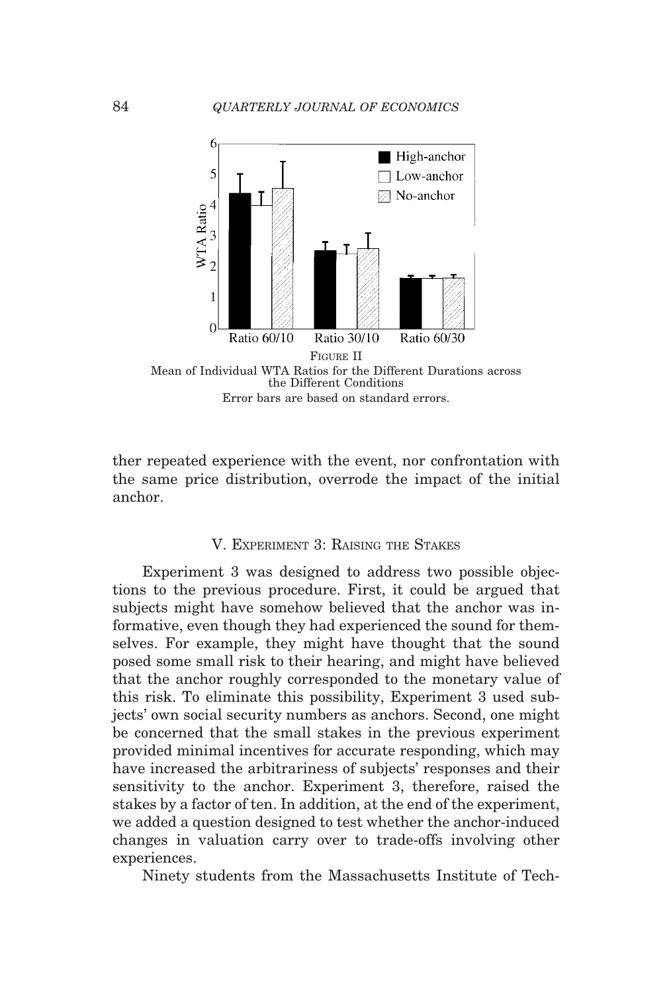

Error bars are based on standard errors.

ther repeated experience with the event, nor confrontation with the same price distribution, overrode the impact of the initial anchor.

#### V. EXPERIMENT 3: RAISING THE STAKES

Experiment 3 was designed to address two possible objections to the previous procedure. First, it could be argued that subjects might have somehow believed that the anchor was informative, even though they had experienced the sound for themselves. For example, they might have thought that the sound posed some small risk to their hearing, and might have believed that the anchor roughly corresponded to the monetary value of this risk. To eliminate this possibility, Experiment 3 used subjects' own social security numbers as anchors. Second, one might be concerned that the small stakes in the previous experiment provided minimal incentives for accurate responding, which may have increased the arbitrariness of subjects' responses and their sensitivity to the anchor. Experiment 3, therefore, raised the stakes by a factor of ten. In addition, at the end of the experiment, we added a question designed to test whether the anchor-induced changes in valuation carry over to trade-offs involving other experiences.

Ninety students from the Massachusetts Institute of Tech-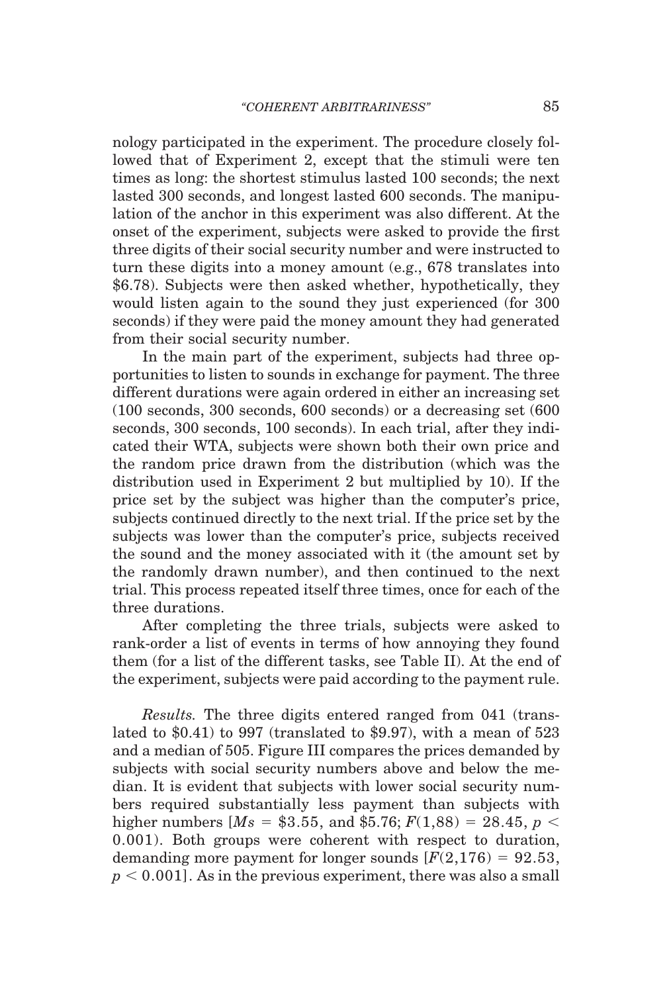nology participated in the experiment. The procedure closely followed that of Experiment 2, except that the stimuli were ten times as long: the shortest stimulus lasted 100 seconds; the next lasted 300 seconds, and longest lasted 600 seconds. The manipulation of the anchor in this experiment was also different. At the onset of the experiment, subjects were asked to provide the first three digits of their social security number and were instructed to turn these digits into a money amount (e.g., 678 translates into \$6.78). Subjects were then asked whether, hypothetically, they would listen again to the sound they just experienced (for 300 seconds) if they were paid the money amount they had generated from their social security number.

In the main part of the experiment, subjects had three opportunities to listen to sounds in exchange for payment. The three different durations were again ordered in either an increasing set (100 seconds, 300 seconds, 600 seconds) or a decreasing set (600 seconds, 300 seconds, 100 seconds). In each trial, after they indicated their WTA, subjects were shown both their own price and the random price drawn from the distribution (which was the distribution used in Experiment 2 but multiplied by 10). If the price set by the subject was higher than the computer's price, subjects continued directly to the next trial. If the price set by the subjects was lower than the computer's price, subjects received the sound and the money associated with it (the amount set by the randomly drawn number), and then continued to the next trial. This process repeated itself three times, once for each of the three durations.

After completing the three trials, subjects were asked to rank-order a list of events in terms of how annoying they found them (for a list of the different tasks, see Table II). At the end of the experiment, subjects were paid according to the payment rule.

*Results.* The three digits entered ranged from 041 (translated to \$0.41) to 997 (translated to \$9.97), with a mean of 523 and a median of 505. Figure III compares the prices demanded by subjects with social security numbers above and below the median. It is evident that subjects with lower social security numbers required substantially less payment than subjects with higher numbers [ $Ms = $3.55,$  and  $$5.76; F(1,88) = 28.45, p <$ 0.001). Both groups were coherent with respect to duration, demanding more payment for longer sounds  $[F(2,176) = 92.53]$ ,  $p < 0.001$ ]. As in the previous experiment, there was also a small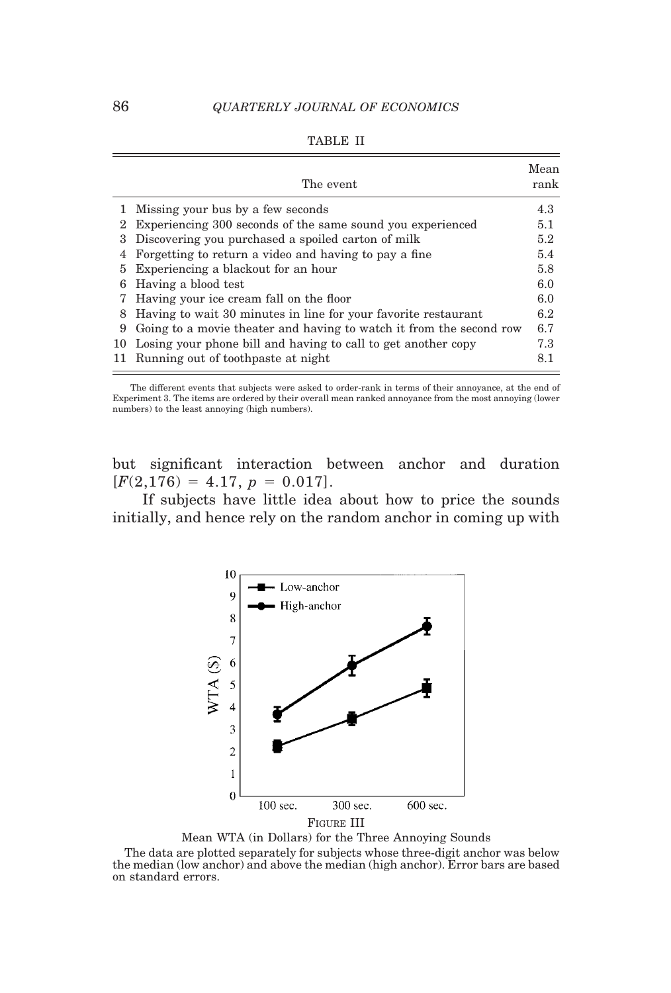|    | The event                                                           | Mean<br>rank |
|----|---------------------------------------------------------------------|--------------|
|    | 1 Missing your bus by a few seconds                                 | 4.3          |
|    | 2 Experiencing 300 seconds of the same sound you experienced        | 5.1          |
|    | 3 Discovering you purchased a spoiled carton of milk                | 5.2          |
|    | Forgetting to return a video and having to pay a fine               | 5.4          |
| 5  | Experiencing a blackout for an hour                                 | 5.8          |
| 6  | Having a blood test                                                 | 6.0          |
|    | Having your ice cream fall on the floor                             | 6.0          |
|    | 8 Having to wait 30 minutes in line for your favorite restaurant    | 6.2          |
| 9  | Going to a movie theater and having to watch it from the second row | 6.7          |
|    | 10 Losing your phone bill and having to call to get another copy    | 7.3          |
| 11 | Running out of toothpaste at night                                  | 8.1          |

TABLE II

The different events that subjects were asked to order-rank in terms of their annoyance, at the end of Experiment 3. The items are ordered by their overall mean ranked annoyance from the most annoying (lower numbers) to the least annoying (high numbers).

but significant interaction between anchor and duration  $[F(2,176) = 4.17, p = 0.017].$ 

If subjects have little idea about how to price the sounds initially, and hence rely on the random anchor in coming up with



Mean WTA (in Dollars) for the Three Annoying Sounds The data are plotted separately for subjects whose three-digit anchor was below the median (low anchor) and above the median (high anchor). Error bars are based on standard errors.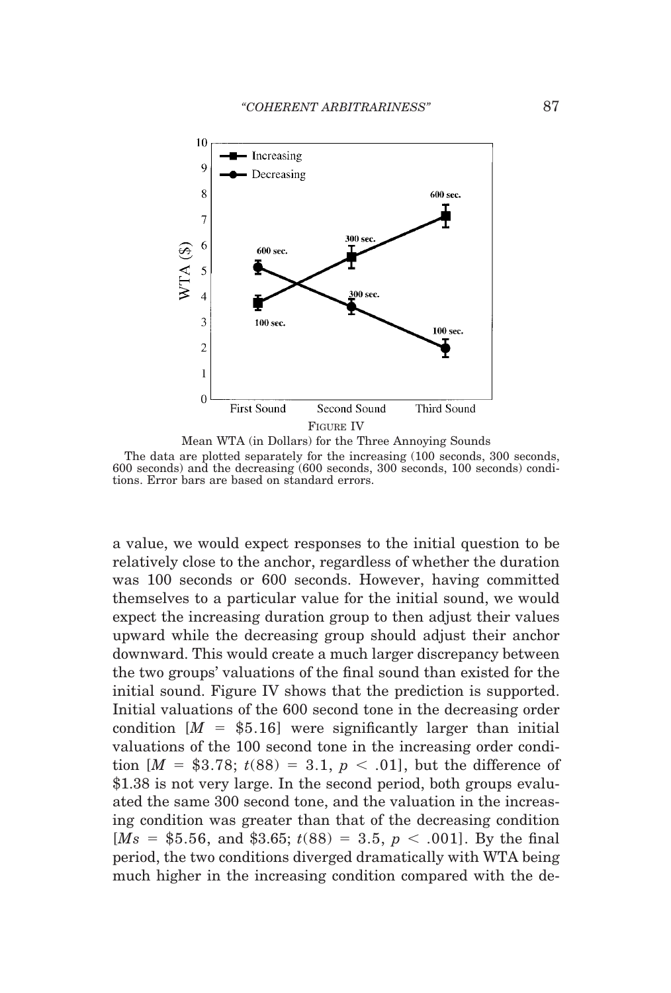

The data are plotted separately for the increasing (100 seconds, 300 seconds, 600 seconds) and the decreasing (600 seconds, 300 seconds, 100 seconds) conditions. Error bars are based on standard errors.

a value, we would expect responses to the initial question to be relatively close to the anchor, regardless of whether the duration was 100 seconds or 600 seconds. However, having committed themselves to a particular value for the initial sound, we would expect the increasing duration group to then adjust their values upward while the decreasing group should adjust their anchor downward. This would create a much larger discrepancy between the two groups' valuations of the final sound than existed for the initial sound. Figure IV shows that the prediction is supported. Initial valuations of the 600 second tone in the decreasing order condition  $[M = $5.16]$  were significantly larger than initial valuations of the 100 second tone in the increasing order condi- $\text{tion} \, \left[ M \, = \, \$3.78; \, t(88) \, = \, 3.1, \, p \, < \, .01 \right], \, \text{but the difference of}$ \$1.38 is not very large. In the second period, both groups evaluated the same 300 second tone, and the valuation in the increasing condition was greater than that of the decreasing condition  $[M_s = $5.56, \text{ and } $3.65; t(88) = 3.5, p < .001]$ . By the final period, the two conditions diverged dramatically with WTA being much higher in the increasing condition compared with the de-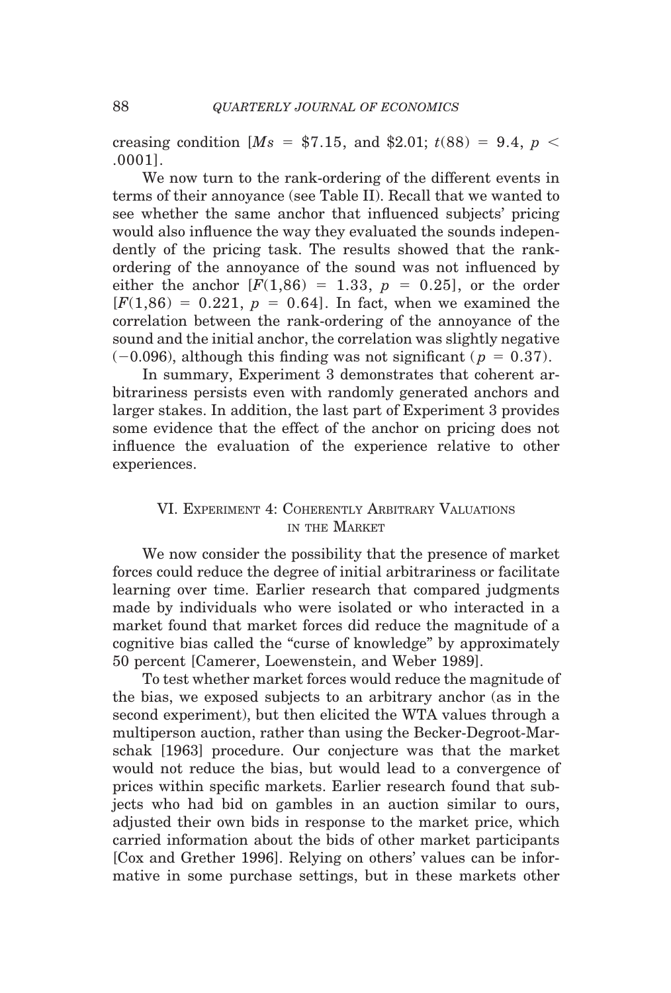$\text{creasing condition} \, \left[ M s \; = \; \$ 7.15, \text{ and } \$ 2.01; \, t(88) \; = \; 9.4, \, p \; < \; 10^{-4} \right]$ .0001].

We now turn to the rank-ordering of the different events in terms of their annoyance (see Table II). Recall that we wanted to see whether the same anchor that influenced subjects' pricing would also influence the way they evaluated the sounds independently of the pricing task. The results showed that the rankordering of the annoyance of the sound was not influenced by either the anchor  $[F(1,86) = 1.33, p = 0.25]$ , or the order  $[F(1,86) = 0.221, p = 0.64]$ . In fact, when we examined the correlation between the rank-ordering of the annoyance of the sound and the initial anchor, the correlation was slightly negative  $(-0.096)$ , although this finding was not significant ( $p = 0.37$ ).

In summary, Experiment 3 demonstrates that coherent arbitrariness persists even with randomly generated anchors and larger stakes. In addition, the last part of Experiment 3 provides some evidence that the effect of the anchor on pricing does not influence the evaluation of the experience relative to other experiences.

## VI. EXPERIMENT 4: COHERENTLY ARBITRARY VALUATIONS IN THE MARKET

We now consider the possibility that the presence of market forces could reduce the degree of initial arbitrariness or facilitate learning over time. Earlier research that compared judgments made by individuals who were isolated or who interacted in a market found that market forces did reduce the magnitude of a cognitive bias called the "curse of knowledge" by approximately 50 percent [Camerer, Loewenstein, and Weber 1989].

To test whether market forces would reduce the magnitude of the bias, we exposed subjects to an arbitrary anchor (as in the second experiment), but then elicited the WTA values through a multiperson auction, rather than using the Becker-Degroot-Marschak [1963] procedure. Our conjecture was that the market would not reduce the bias, but would lead to a convergence of prices within specific markets. Earlier research found that subjects who had bid on gambles in an auction similar to ours, adjusted their own bids in response to the market price, which carried information about the bids of other market participants [Cox and Grether 1996]. Relying on others' values can be informative in some purchase settings, but in these markets other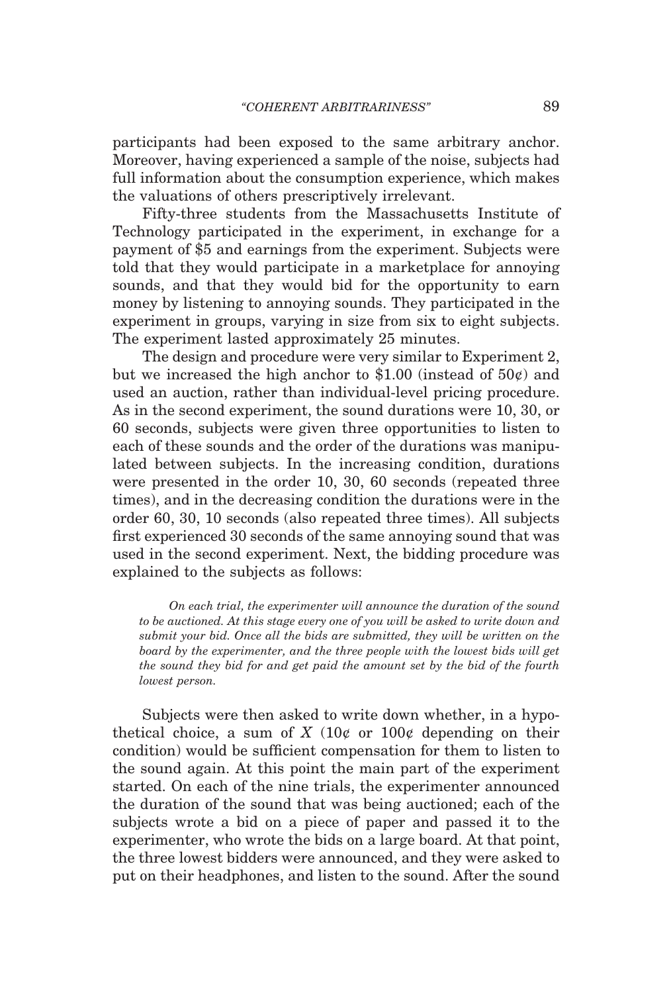participants had been exposed to the same arbitrary anchor. Moreover, having experienced a sample of the noise, subjects had full information about the consumption experience, which makes the valuations of others prescriptively irrelevant.

Fifty-three students from the Massachusetts Institute of Technology participated in the experiment, in exchange for a payment of \$5 and earnings from the experiment. Subjects were told that they would participate in a marketplace for annoying sounds, and that they would bid for the opportunity to earn money by listening to annoying sounds. They participated in the experiment in groups, varying in size from six to eight subjects. The experiment lasted approximately 25 minutes.

The design and procedure were very similar to Experiment 2, but we increased the high anchor to \$1.00 (instead of  $50¢$ ) and used an auction, rather than individual-level pricing procedure. As in the second experiment, the sound durations were 10, 30, or 60 seconds, subjects were given three opportunities to listen to each of these sounds and the order of the durations was manipulated between subjects. In the increasing condition, durations were presented in the order 10, 30, 60 seconds (repeated three times), and in the decreasing condition the durations were in the order 60, 30, 10 seconds (also repeated three times). All subjects first experienced 30 seconds of the same annoying sound that was used in the second experiment. Next, the bidding procedure was explained to the subjects as follows:

*On each trial, the experimenter will announce the duration of the sound to be auctioned. At this stage every one of you will be asked to write down and submit your bid. Once all the bids are submitted, they will be written on the board by the experimenter, and the three people with the lowest bids will get the sound they bid for and get paid the amount set by the bid of the fourth lowest person.*

Subjects were then asked to write down whether, in a hypothetical choice, a sum of  $X(10\phi)$  or  $100\phi$  depending on their condition) would be sufficient compensation for them to listen to the sound again. At this point the main part of the experiment started. On each of the nine trials, the experimenter announced the duration of the sound that was being auctioned; each of the subjects wrote a bid on a piece of paper and passed it to the experimenter, who wrote the bids on a large board. At that point, the three lowest bidders were announced, and they were asked to put on their headphones, and listen to the sound. After the sound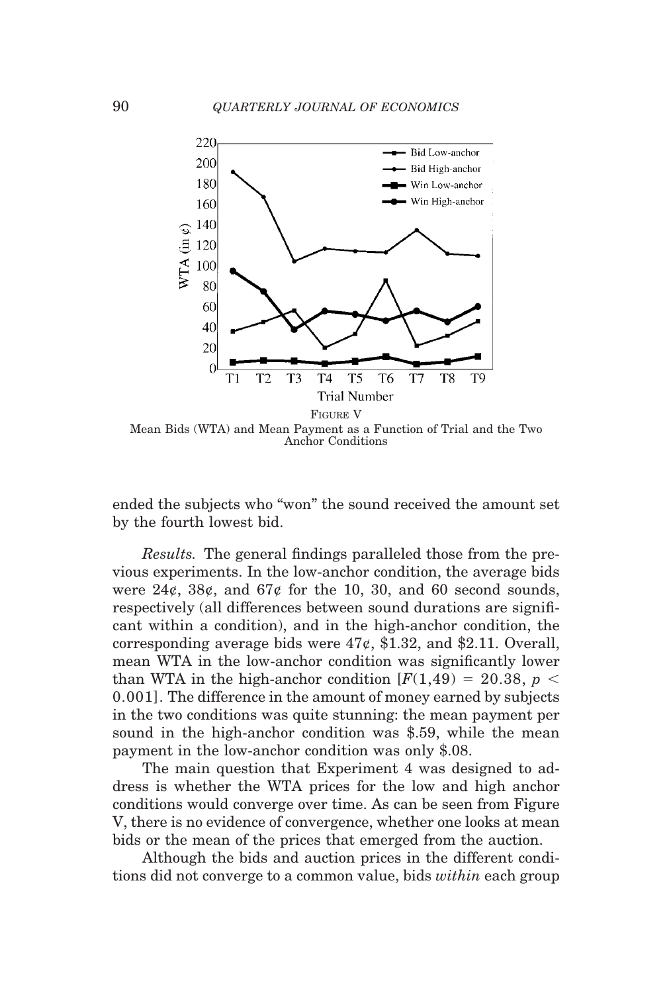

Mean Bids (WTA) and Mean Payment as a Function of Trial and the Two Anchor Conditions

ended the subjects who "won" the sound received the amount set by the fourth lowest bid.

*Results.* The general findings paralleled those from the previous experiments. In the low-anchor condition, the average bids were  $24\ell$ ,  $38\ell$ , and  $67\ell$  for the 10, 30, and 60 second sounds, respectively (all differences between sound durations are significant within a condition), and in the high-anchor condition, the corresponding average bids were  $47¢$ , \$1.32, and \$2.11. Overall, mean WTA in the low-anchor condition was significantly lower than WTA in the high-anchor condition  $[F(1,49) = 20.38, p <$ 0.001]. The difference in the amount of money earned by subjects in the two conditions was quite stunning: the mean payment per sound in the high-anchor condition was \$.59, while the mean payment in the low-anchor condition was only \$.08.

The main question that Experiment 4 was designed to address is whether the WTA prices for the low and high anchor conditions would converge over time. As can be seen from Figure V, there is no evidence of convergence, whether one looks at mean bids or the mean of the prices that emerged from the auction.

Although the bids and auction prices in the different conditions did not converge to a common value, bids *within* each group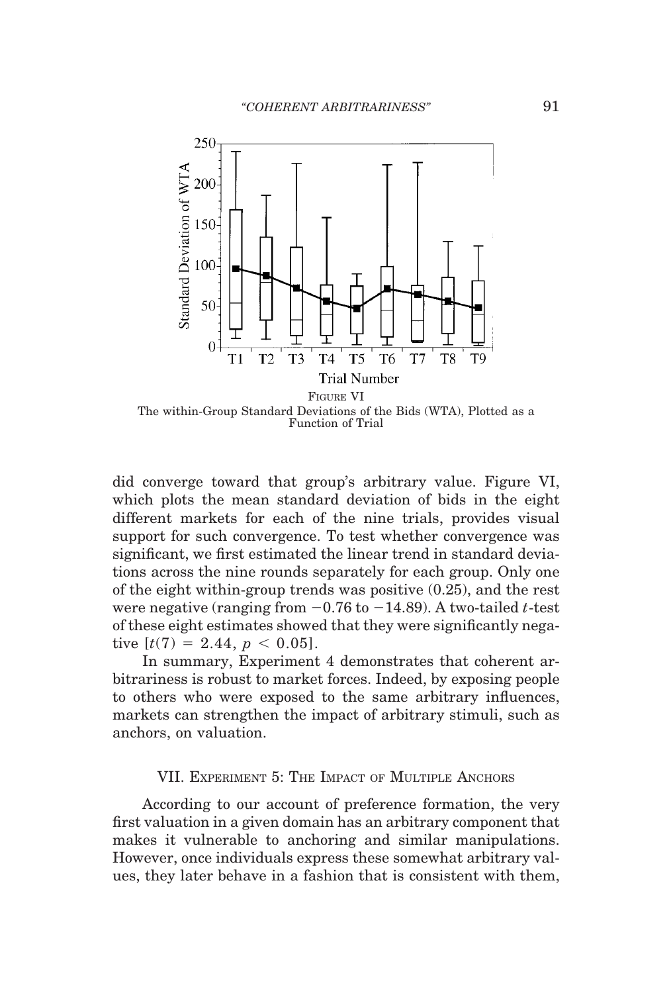

Function of Trial

did converge toward that group's arbitrary value. Figure VI, which plots the mean standard deviation of bids in the eight different markets for each of the nine trials, provides visual support for such convergence. To test whether convergence was significant, we first estimated the linear trend in standard deviations across the nine rounds separately for each group. Only one of the eight within-group trends was positive (0.25), and the rest were negative (ranging from  $-0.76$  to  $-14.89$ ). A two-tailed *t*-test of these eight estimates showed that they were significantly negative  $[t(7) = 2.44, p < 0.05]$ .

In summary, Experiment 4 demonstrates that coherent arbitrariness is robust to market forces. Indeed, by exposing people to others who were exposed to the same arbitrary influences, markets can strengthen the impact of arbitrary stimuli, such as anchors, on valuation.

### VII. EXPERIMENT 5: THE IMPACT OF MULTIPLE ANCHORS

According to our account of preference formation, the very first valuation in a given domain has an arbitrary component that makes it vulnerable to anchoring and similar manipulations. However, once individuals express these somewhat arbitrary values, they later behave in a fashion that is consistent with them,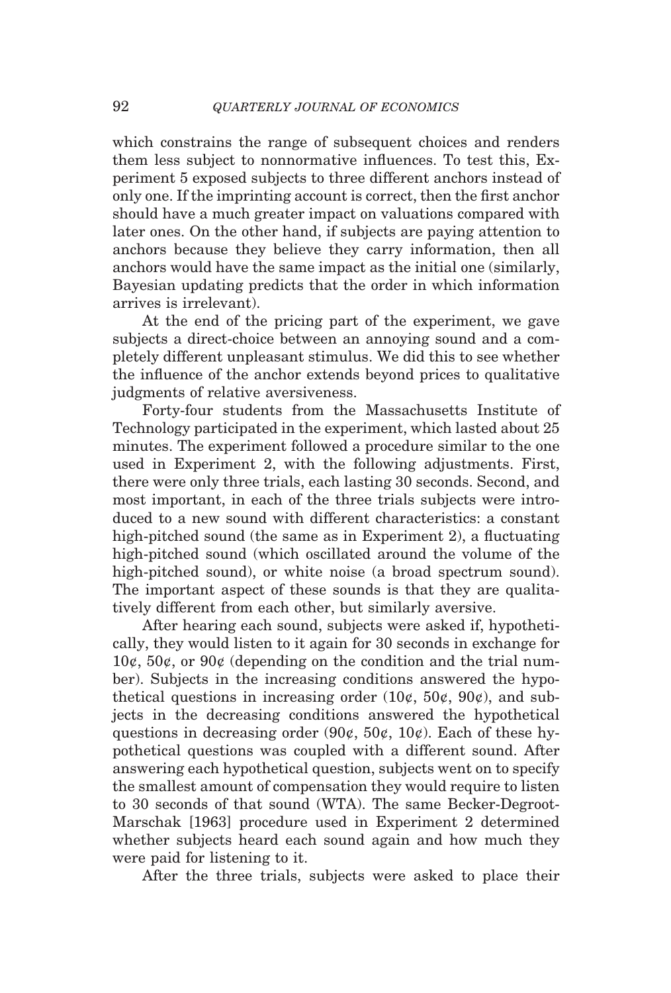which constrains the range of subsequent choices and renders them less subject to nonnormative influences. To test this, Experiment 5 exposed subjects to three different anchors instead of only one. If the imprinting account is correct, then the first anchor should have a much greater impact on valuations compared with later ones. On the other hand, if subjects are paying attention to anchors because they believe they carry information, then all anchors would have the same impact as the initial one (similarly, Bayesian updating predicts that the order in which information arrives is irrelevant).

At the end of the pricing part of the experiment, we gave subjects a direct-choice between an annoying sound and a completely different unpleasant stimulus. We did this to see whether the influence of the anchor extends beyond prices to qualitative judgments of relative aversiveness.

Forty-four students from the Massachusetts Institute of Technology participated in the experiment, which lasted about 25 minutes. The experiment followed a procedure similar to the one used in Experiment 2, with the following adjustments. First, there were only three trials, each lasting 30 seconds. Second, and most important, in each of the three trials subjects were introduced to a new sound with different characteristics: a constant high-pitched sound (the same as in Experiment 2), a fluctuating high-pitched sound (which oscillated around the volume of the high-pitched sound), or white noise (a broad spectrum sound). The important aspect of these sounds is that they are qualitatively different from each other, but similarly aversive.

After hearing each sound, subjects were asked if, hypothetically, they would listen to it again for 30 seconds in exchange for  $10¢$ ,  $50¢$ , or  $90¢$  (depending on the condition and the trial number). Subjects in the increasing conditions answered the hypothetical questions in increasing order (10 $\varphi$ , 50 $\varphi$ , 90 $\varphi$ ), and subjects in the decreasing conditions answered the hypothetical questions in decreasing order (90 $\varphi$ , 50 $\varphi$ , 10 $\varphi$ ). Each of these hypothetical questions was coupled with a different sound. After answering each hypothetical question, subjects went on to specify the smallest amount of compensation they would require to listen to 30 seconds of that sound (WTA). The same Becker-Degroot-Marschak [1963] procedure used in Experiment 2 determined whether subjects heard each sound again and how much they were paid for listening to it.

After the three trials, subjects were asked to place their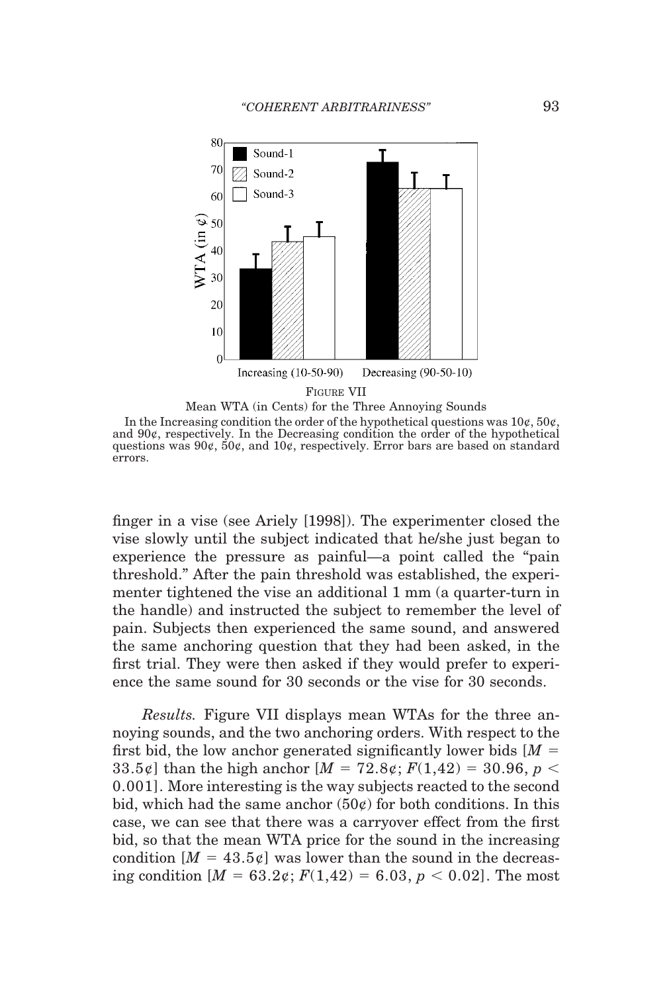

In the Increasing condition the order of the hypothetical questions was  $10\ell$ ,  $50\ell$ , and 90¢, respectively. In the Decreasing condition the order of the hypothetical questions was  $90¢$ ,  $50¢$ , and  $10¢$ , respectively. Error bars are based on standard errors.

finger in a vise (see Ariely [1998]). The experimenter closed the vise slowly until the subject indicated that he/she just began to experience the pressure as painful—a point called the "pain threshold." After the pain threshold was established, the experimenter tightened the vise an additional 1 mm (a quarter-turn in the handle) and instructed the subject to remember the level of pain. Subjects then experienced the same sound, and answered the same anchoring question that they had been asked, in the first trial. They were then asked if they would prefer to experience the same sound for 30 seconds or the vise for 30 seconds.

*Results.* Figure VII displays mean WTAs for the three annoying sounds, and the two anchoring orders. With respect to the first bid, the low anchor generated significantly lower bids  $[M =$  $33.5\varrho\}$  than the high anchor [ $M = 72.8\varrho;$   $F(1,42) = 30.96,\, p < 30.96$ 0.001]. More interesting is the way subjects reacted to the second bid, which had the same anchor  $(50¢)$  for both conditions. In this case, we can see that there was a carryover effect from the first bid, so that the mean WTA price for the sound in the increasing condition  $[M = 43.5\varrho]$  was lower than the sound in the decreas- $\log \text{condition} ~ [M = 63.2 \varrho; F(1,42) = 6.03, \text{} p < 0.02]$ . The most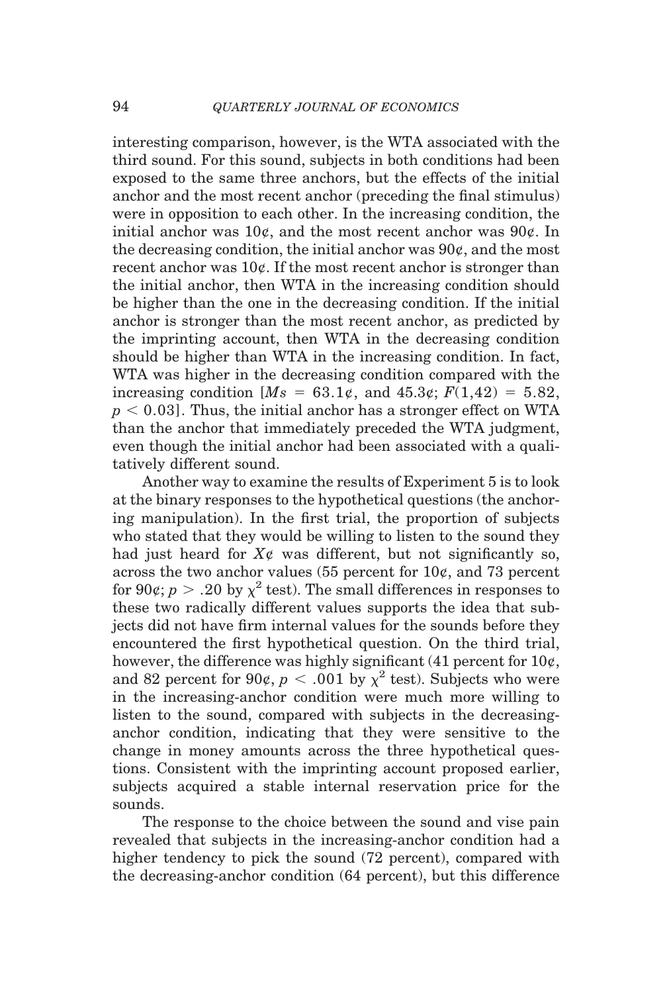interesting comparison, however, is the WTA associated with the third sound. For this sound, subjects in both conditions had been exposed to the same three anchors, but the effects of the initial anchor and the most recent anchor (preceding the final stimulus) were in opposition to each other. In the increasing condition, the initial anchor was  $10\ell$ , and the most recent anchor was  $90\ell$ . In the decreasing condition, the initial anchor was  $90\ell$ , and the most recent anchor was 10¢. If the most recent anchor is stronger than the initial anchor, then WTA in the increasing condition should be higher than the one in the decreasing condition. If the initial anchor is stronger than the most recent anchor, as predicted by the imprinting account, then WTA in the decreasing condition should be higher than WTA in the increasing condition. In fact, WTA was higher in the decreasing condition compared with the increasing condition  $[M_s = 63.1\varrho, \text{ and } 45.3\varrho; F(1,42) = 5.82,$  $p < 0.03$ ]. Thus, the initial anchor has a stronger effect on WTA than the anchor that immediately preceded the WTA judgment, even though the initial anchor had been associated with a qualitatively different sound.

Another way to examine the results of Experiment 5 is to look at the binary responses to the hypothetical questions (the anchoring manipulation). In the first trial, the proportion of subjects who stated that they would be willing to listen to the sound they had just heard for  $X\ell$  was different, but not significantly so, across the two anchor values (55 percent for  $10\ell$ , and 73 percent for  $90¢$ ;  $p > .20$  by  $\chi^2$  test). The small differences in responses to these two radically different values supports the idea that subjects did not have firm internal values for the sounds before they encountered the first hypothetical question. On the third trial, however, the difference was highly significant  $(41$  percent for  $10\varrho$ , and 82 percent for 90¢,  $p < .001$  by  $\chi^2$  test). Subjects who were in the increasing-anchor condition were much more willing to listen to the sound, compared with subjects in the decreasinganchor condition, indicating that they were sensitive to the change in money amounts across the three hypothetical questions. Consistent with the imprinting account proposed earlier, subjects acquired a stable internal reservation price for the sounds.

The response to the choice between the sound and vise pain revealed that subjects in the increasing-anchor condition had a higher tendency to pick the sound (72 percent), compared with the decreasing-anchor condition (64 percent), but this difference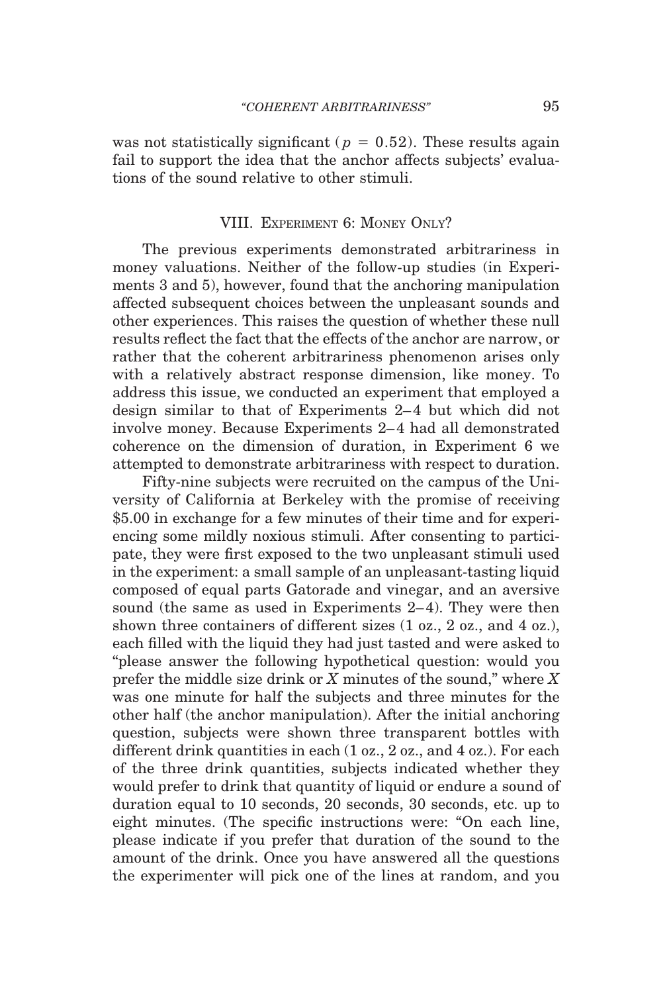was not statistically significant ( $p = 0.52$ ). These results again fail to support the idea that the anchor affects subjects' evaluations of the sound relative to other stimuli.

### VIII. EXPERIMENT 6: MONEY ONLY?

The previous experiments demonstrated arbitrariness in money valuations. Neither of the follow-up studies (in Experiments 3 and 5), however, found that the anchoring manipulation affected subsequent choices between the unpleasant sounds and other experiences. This raises the question of whether these null results reflect the fact that the effects of the anchor are narrow, or rather that the coherent arbitrariness phenomenon arises only with a relatively abstract response dimension, like money. To address this issue, we conducted an experiment that employed a design similar to that of Experiments 2–4 but which did not involve money. Because Experiments 2–4 had all demonstrated coherence on the dimension of duration, in Experiment 6 we attempted to demonstrate arbitrariness with respect to duration.

Fifty-nine subjects were recruited on the campus of the University of California at Berkeley with the promise of receiving \$5.00 in exchange for a few minutes of their time and for experiencing some mildly noxious stimuli. After consenting to participate, they were first exposed to the two unpleasant stimuli used in the experiment: a small sample of an unpleasant-tasting liquid composed of equal parts Gatorade and vinegar, and an aversive sound (the same as used in Experiments 2–4). They were then shown three containers of different sizes (1 oz., 2 oz., and 4 oz.), each filled with the liquid they had just tasted and were asked to "please answer the following hypothetical question: would you prefer the middle size drink or *X* minutes of the sound," where *X* was one minute for half the subjects and three minutes for the other half (the anchor manipulation). After the initial anchoring question, subjects were shown three transparent bottles with different drink quantities in each (1 oz., 2 oz., and 4 oz.). For each of the three drink quantities, subjects indicated whether they would prefer to drink that quantity of liquid or endure a sound of duration equal to 10 seconds, 20 seconds, 30 seconds, etc. up to eight minutes. (The specific instructions were: "On each line, please indicate if you prefer that duration of the sound to the amount of the drink. Once you have answered all the questions the experimenter will pick one of the lines at random, and you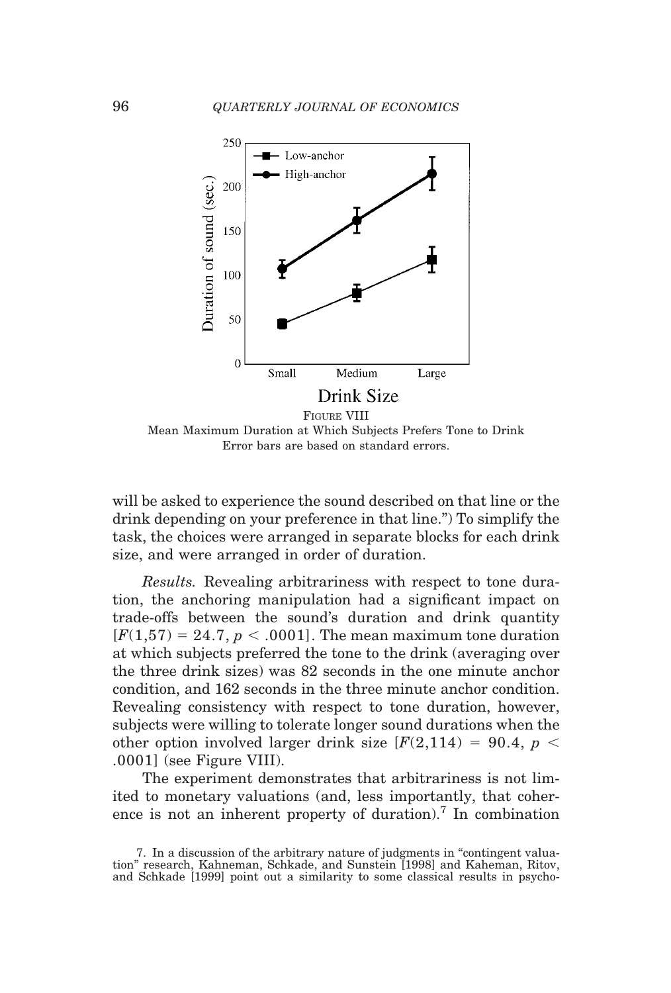

Mean Maximum Duration at Which Subjects Prefers Tone to Drink Error bars are based on standard errors.

will be asked to experience the sound described on that line or the drink depending on your preference in that line.") To simplify the task, the choices were arranged in separate blocks for each drink size, and were arranged in order of duration.

*Results.* Revealing arbitrariness with respect to tone duration, the anchoring manipulation had a significant impact on trade-offs between the sound's duration and drink quantity  $[F(1,57) = 24.7, p < .0001]$ . The mean maximum tone duration at which subjects preferred the tone to the drink (averaging over the three drink sizes) was 82 seconds in the one minute anchor condition, and 162 seconds in the three minute anchor condition. Revealing consistency with respect to tone duration, however, subjects were willing to tolerate longer sound durations when the other option involved larger drink size  $[ F(2, 114) = 90.4, p <$ .0001] (see Figure VIII).

The experiment demonstrates that arbitrariness is not limited to monetary valuations (and, less importantly, that coherence is not an inherent property of duration).<sup>7</sup> In combination

<sup>7.</sup> In a discussion of the arbitrary nature of judgments in "contingent valuation" research, Kahneman, Schkade, and Sunstein [1998] and Kaheman, Ritov, and Schkade [1999] point out a similarity to some classical results in psycho-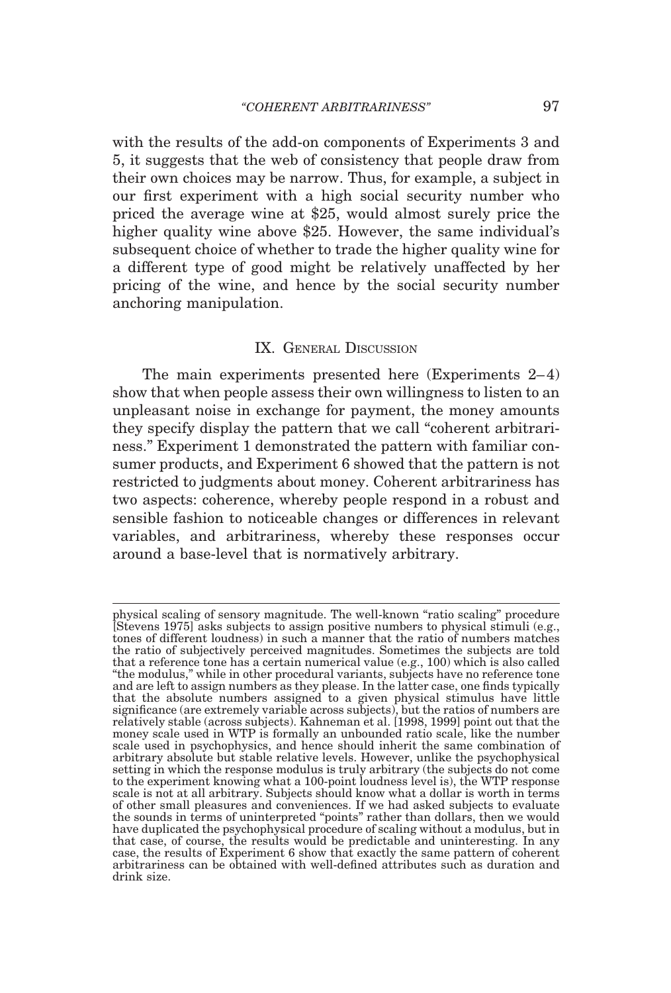with the results of the add-on components of Experiments 3 and 5, it suggests that the web of consistency that people draw from their own choices may be narrow. Thus, for example, a subject in our first experiment with a high social security number who priced the average wine at \$25, would almost surely price the higher quality wine above \$25. However, the same individual's subsequent choice of whether to trade the higher quality wine for a different type of good might be relatively unaffected by her pricing of the wine, and hence by the social security number anchoring manipulation.

## IX. GENERAL DISCUSSION

The main experiments presented here (Experiments 2–4) show that when people assess their own willingness to listen to an unpleasant noise in exchange for payment, the money amounts they specify display the pattern that we call "coherent arbitrariness." Experiment 1 demonstrated the pattern with familiar consumer products, and Experiment 6 showed that the pattern is not restricted to judgments about money. Coherent arbitrariness has two aspects: coherence, whereby people respond in a robust and sensible fashion to noticeable changes or differences in relevant variables, and arbitrariness, whereby these responses occur around a base-level that is normatively arbitrary.

physical scaling of sensory magnitude. The well-known "ratio scaling" procedure [Stevens 1975] asks subjects to assign positive numbers to physical stimuli (e.g., tones of different loudness) in such a manner that the ratio of numbers matches the ratio of subjectively perceived magnitudes. Sometimes the subjects are told that a reference tone has a certain numerical value (e.g., 100) which is also called "the modulus," while in other procedural variants, subjects have no reference tone and are left to assign numbers as they please. In the latter case, one finds typically that the absolute numbers assigned to a given physical stimulus have little significance (are extremely variable across subjects), but the ratios of numbers are relatively stable (across subjects). Kahneman et al. [1998, 1999] point out that the money scale used in WTP is formally an unbounded ratio scale, like the number scale used in psychophysics, and hence should inherit the same combination of arbitrary absolute but stable relative levels. However, unlike the psychophysical setting in which the response modulus is truly arbitrary (the subjects do not come to the experiment knowing what a 100-point loudness level is), the WTP response scale is not at all arbitrary. Subjects should know what a dollar is worth in terms<br>of other small pleasures and conveniences. If we had asked subjects to evaluate<br>the sounds in terms of uninterpreted "points" rather than have duplicated the psychophysical procedure of scaling without a modulus, but in that case, of course, the results would be predictable and uninteresting. In any case, the results of Experiment 6 show that exactly the same pattern of coherent arbitrariness can be obtained with well-defined attributes such as duration and drink size.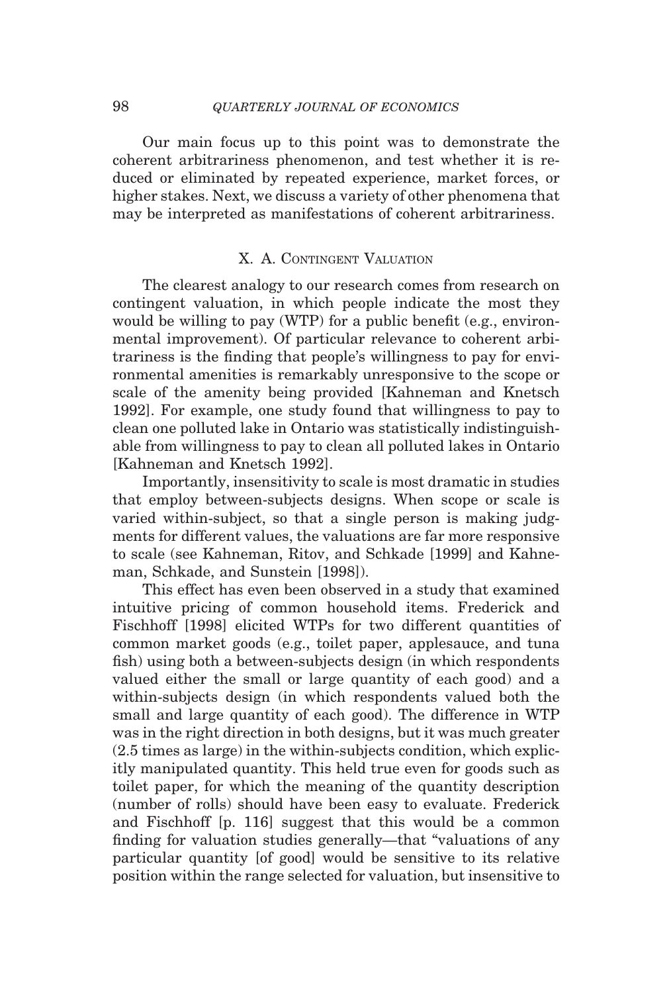Our main focus up to this point was to demonstrate the coherent arbitrariness phenomenon, and test whether it is reduced or eliminated by repeated experience, market forces, or higher stakes. Next, we discuss a variety of other phenomena that may be interpreted as manifestations of coherent arbitrariness.

## X. A. CONTINGENT VALUATION

The clearest analogy to our research comes from research on contingent valuation, in which people indicate the most they would be willing to pay (WTP) for a public benefit (e.g., environmental improvement). Of particular relevance to coherent arbitrariness is the finding that people's willingness to pay for environmental amenities is remarkably unresponsive to the scope or scale of the amenity being provided [Kahneman and Knetsch 1992]. For example, one study found that willingness to pay to clean one polluted lake in Ontario was statistically indistinguishable from willingness to pay to clean all polluted lakes in Ontario [Kahneman and Knetsch 1992].

Importantly, insensitivity to scale is most dramatic in studies that employ between-subjects designs. When scope or scale is varied within-subject, so that a single person is making judgments for different values, the valuations are far more responsive to scale (see Kahneman, Ritov, and Schkade [1999] and Kahneman, Schkade, and Sunstein [1998]).

This effect has even been observed in a study that examined intuitive pricing of common household items. Frederick and Fischhoff [1998] elicited WTPs for two different quantities of common market goods (e.g., toilet paper, applesauce, and tuna fish) using both a between-subjects design (in which respondents valued either the small or large quantity of each good) and a within-subjects design (in which respondents valued both the small and large quantity of each good). The difference in WTP was in the right direction in both designs, but it was much greater (2.5 times as large) in the within-subjects condition, which explicitly manipulated quantity. This held true even for goods such as toilet paper, for which the meaning of the quantity description (number of rolls) should have been easy to evaluate. Frederick and Fischhoff [p. 116] suggest that this would be a common finding for valuation studies generally—that "valuations of any particular quantity [of good] would be sensitive to its relative position within the range selected for valuation, but insensitive to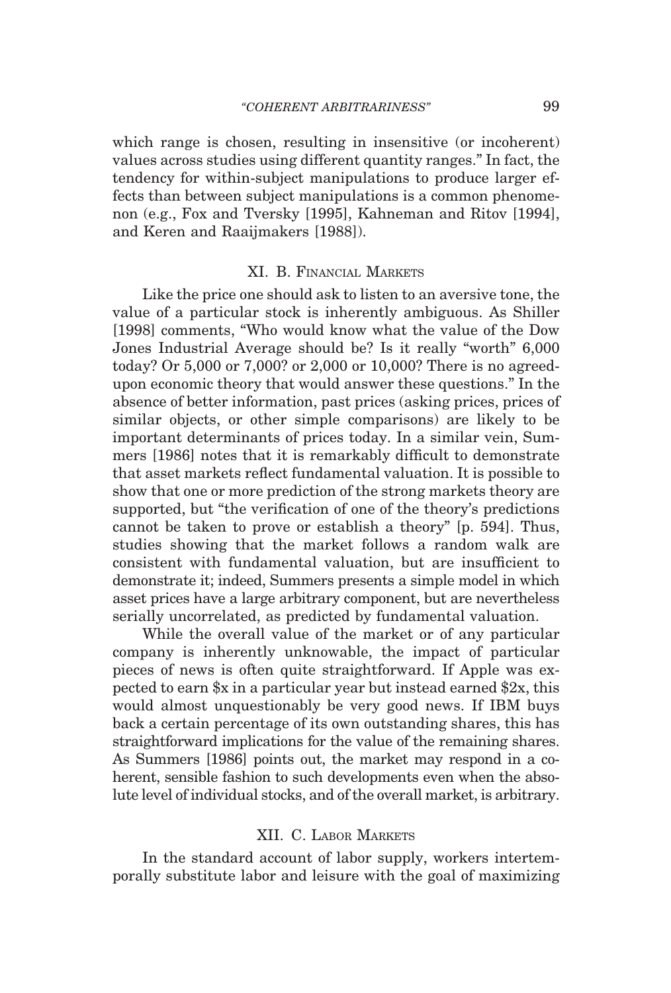which range is chosen, resulting in insensitive (or incoherent) values across studies using different quantity ranges." In fact, the tendency for within-subject manipulations to produce larger effects than between subject manipulations is a common phenomenon (e.g., Fox and Tversky [1995], Kahneman and Ritov [1994], and Keren and Raaijmakers [1988]).

#### XI. B. FINANCIAL MARKETS

Like the price one should ask to listen to an aversive tone, the value of a particular stock is inherently ambiguous. As Shiller [1998] comments, "Who would know what the value of the Dow Jones Industrial Average should be? Is it really "worth" 6,000 today? Or 5,000 or 7,000? or 2,000 or 10,000? There is no agreedupon economic theory that would answer these questions." In the absence of better information, past prices (asking prices, prices of similar objects, or other simple comparisons) are likely to be important determinants of prices today. In a similar vein, Summers [1986] notes that it is remarkably difficult to demonstrate that asset markets reflect fundamental valuation. It is possible to show that one or more prediction of the strong markets theory are supported, but "the verification of one of the theory's predictions cannot be taken to prove or establish a theory" [p. 594]. Thus, studies showing that the market follows a random walk are consistent with fundamental valuation, but are insufficient to demonstrate it; indeed, Summers presents a simple model in which asset prices have a large arbitrary component, but are nevertheless serially uncorrelated, as predicted by fundamental valuation.

While the overall value of the market or of any particular company is inherently unknowable, the impact of particular pieces of news is often quite straightforward. If Apple was expected to earn \$x in a particular year but instead earned \$2x, this would almost unquestionably be very good news. If IBM buys back a certain percentage of its own outstanding shares, this has straightforward implications for the value of the remaining shares. As Summers [1986] points out, the market may respond in a coherent, sensible fashion to such developments even when the absolute level of individual stocks, and of the overall market, is arbitrary.

### XII. C. LABOR MARKETS

In the standard account of labor supply, workers intertemporally substitute labor and leisure with the goal of maximizing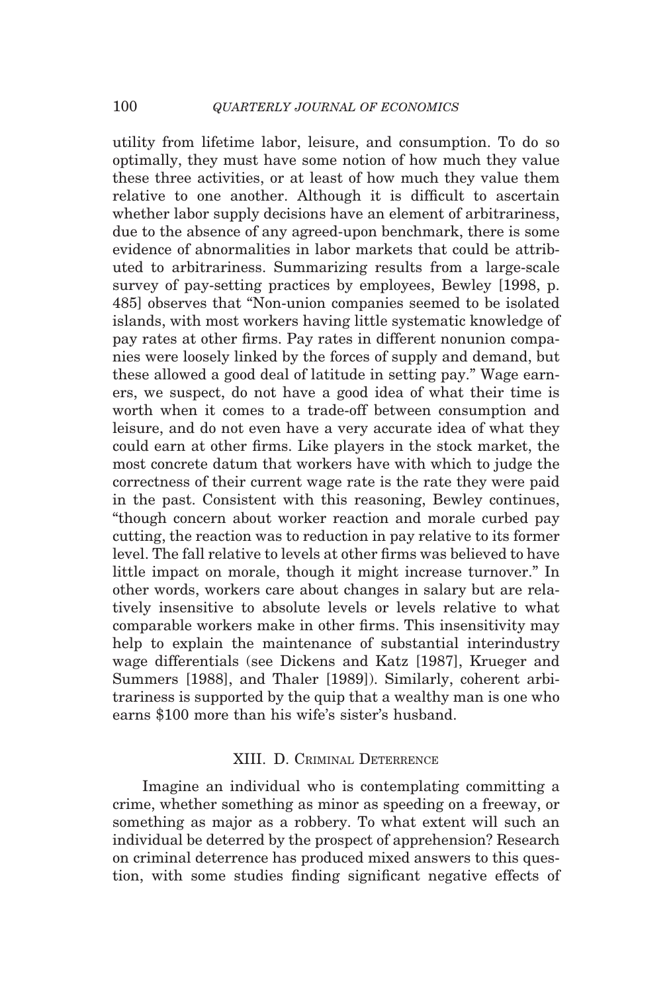utility from lifetime labor, leisure, and consumption. To do so optimally, they must have some notion of how much they value these three activities, or at least of how much they value them relative to one another. Although it is difficult to ascertain whether labor supply decisions have an element of arbitrariness, due to the absence of any agreed-upon benchmark, there is some evidence of abnormalities in labor markets that could be attributed to arbitrariness. Summarizing results from a large-scale survey of pay-setting practices by employees, Bewley [1998, p. 485] observes that "Non-union companies seemed to be isolated islands, with most workers having little systematic knowledge of pay rates at other firms. Pay rates in different nonunion companies were loosely linked by the forces of supply and demand, but these allowed a good deal of latitude in setting pay." Wage earners, we suspect, do not have a good idea of what their time is worth when it comes to a trade-off between consumption and leisure, and do not even have a very accurate idea of what they could earn at other firms. Like players in the stock market, the most concrete datum that workers have with which to judge the correctness of their current wage rate is the rate they were paid in the past. Consistent with this reasoning, Bewley continues, "though concern about worker reaction and morale curbed pay cutting, the reaction was to reduction in pay relative to its former level. The fall relative to levels at other firms was believed to have little impact on morale, though it might increase turnover." In other words, workers care about changes in salary but are relatively insensitive to absolute levels or levels relative to what comparable workers make in other firms. This insensitivity may help to explain the maintenance of substantial interindustry wage differentials (see Dickens and Katz [1987], Krueger and Summers [1988], and Thaler [1989]). Similarly, coherent arbitrariness is supported by the quip that a wealthy man is one who earns \$100 more than his wife's sister's husband.

## XIII. D. CRIMINAL DETERRENCE

Imagine an individual who is contemplating committing a crime, whether something as minor as speeding on a freeway, or something as major as a robbery. To what extent will such an individual be deterred by the prospect of apprehension? Research on criminal deterrence has produced mixed answers to this question, with some studies finding significant negative effects of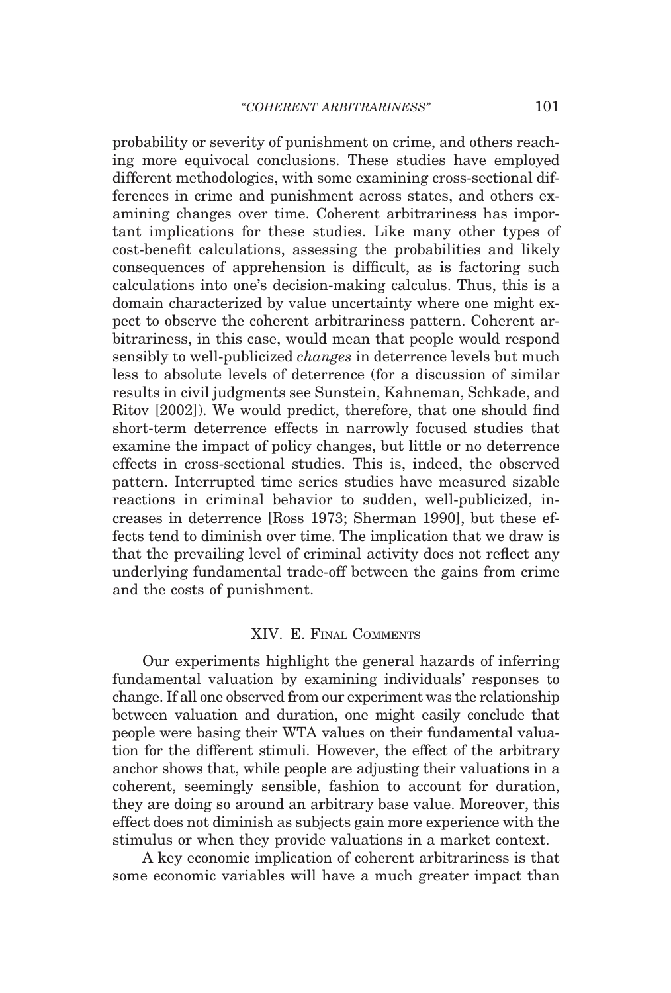probability or severity of punishment on crime, and others reaching more equivocal conclusions. These studies have employed different methodologies, with some examining cross-sectional differences in crime and punishment across states, and others examining changes over time. Coherent arbitrariness has important implications for these studies. Like many other types of cost-benefit calculations, assessing the probabilities and likely consequences of apprehension is difficult, as is factoring such calculations into one's decision-making calculus. Thus, this is a domain characterized by value uncertainty where one might expect to observe the coherent arbitrariness pattern. Coherent arbitrariness, in this case, would mean that people would respond sensibly to well-publicized *changes* in deterrence levels but much less to absolute levels of deterrence (for a discussion of similar results in civil judgments see Sunstein, Kahneman, Schkade, and Ritov [2002]). We would predict, therefore, that one should find short-term deterrence effects in narrowly focused studies that examine the impact of policy changes, but little or no deterrence effects in cross-sectional studies. This is, indeed, the observed pattern. Interrupted time series studies have measured sizable reactions in criminal behavior to sudden, well-publicized, increases in deterrence [Ross 1973; Sherman 1990], but these effects tend to diminish over time. The implication that we draw is that the prevailing level of criminal activity does not reflect any underlying fundamental trade-off between the gains from crime and the costs of punishment.

#### XIV. E. FINAL COMMENTS

Our experiments highlight the general hazards of inferring fundamental valuation by examining individuals' responses to change. If all one observed from our experiment was the relationship between valuation and duration, one might easily conclude that people were basing their WTA values on their fundamental valuation for the different stimuli. However, the effect of the arbitrary anchor shows that, while people are adjusting their valuations in a coherent, seemingly sensible, fashion to account for duration, they are doing so around an arbitrary base value. Moreover, this effect does not diminish as subjects gain more experience with the stimulus or when they provide valuations in a market context.

A key economic implication of coherent arbitrariness is that some economic variables will have a much greater impact than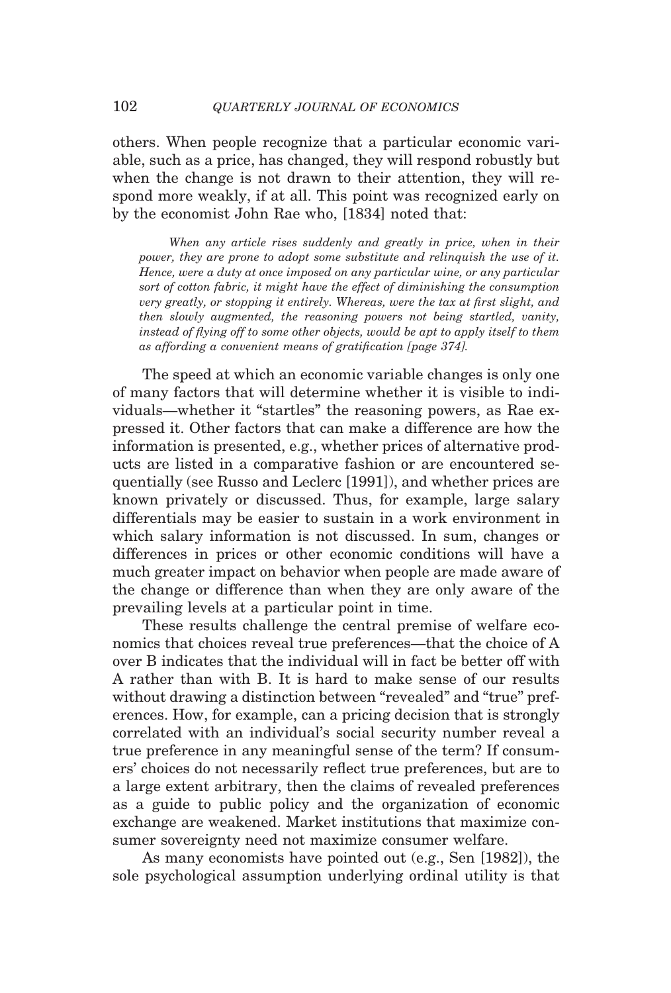others. When people recognize that a particular economic variable, such as a price, has changed, they will respond robustly but when the change is not drawn to their attention, they will respond more weakly, if at all. This point was recognized early on by the economist John Rae who, [1834] noted that:

*When any article rises suddenly and greatly in price, when in their power, they are prone to adopt some substitute and relinquish the use of it. Hence, were a duty at once imposed on any particular wine, or any particular sort of cotton fabric, it might have the effect of diminishing the consumption very greatly, or stopping it entirely. Whereas, were the tax at first slight, and then slowly augmented, the reasoning powers not being startled, vanity, instead of flying off to some other objects, would be apt to apply itself to them as affording a convenient means of gratification [page 374].*

The speed at which an economic variable changes is only one of many factors that will determine whether it is visible to individuals—whether it "startles" the reasoning powers, as Rae expressed it. Other factors that can make a difference are how the information is presented, e.g., whether prices of alternative products are listed in a comparative fashion or are encountered sequentially (see Russo and Leclerc [1991]), and whether prices are known privately or discussed. Thus, for example, large salary differentials may be easier to sustain in a work environment in which salary information is not discussed. In sum, changes or differences in prices or other economic conditions will have a much greater impact on behavior when people are made aware of the change or difference than when they are only aware of the prevailing levels at a particular point in time.

These results challenge the central premise of welfare economics that choices reveal true preferences—that the choice of A over B indicates that the individual will in fact be better off with A rather than with B. It is hard to make sense of our results without drawing a distinction between "revealed" and "true" preferences. How, for example, can a pricing decision that is strongly correlated with an individual's social security number reveal a true preference in any meaningful sense of the term? If consumers' choices do not necessarily reflect true preferences, but are to a large extent arbitrary, then the claims of revealed preferences as a guide to public policy and the organization of economic exchange are weakened. Market institutions that maximize consumer sovereignty need not maximize consumer welfare.

As many economists have pointed out (e.g., Sen [1982]), the sole psychological assumption underlying ordinal utility is that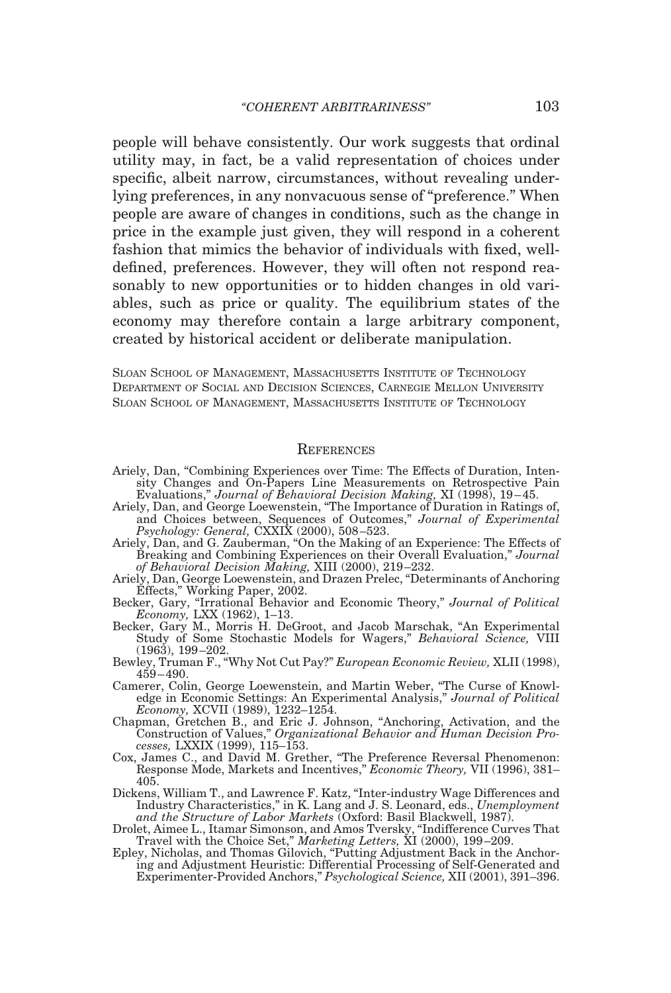people will behave consistently. Our work suggests that ordinal utility may, in fact, be a valid representation of choices under specific, albeit narrow, circumstances, without revealing underlying preferences, in any nonvacuous sense of "preference." When people are aware of changes in conditions, such as the change in price in the example just given, they will respond in a coherent fashion that mimics the behavior of individuals with fixed, welldefined, preferences. However, they will often not respond reasonably to new opportunities or to hidden changes in old variables, such as price or quality. The equilibrium states of the economy may therefore contain a large arbitrary component, created by historical accident or deliberate manipulation.

SLOAN SCHOOL OF MANAGEMENT, MASSACHUSETTS INSTITUTE OF TECHNOLOGY DEPARTMENT OF SOCIAL AND DECISION SCIENCES, CARNEGIE MELLON UNIVERSITY SLOAN SCHOOL OF MANAGEMENT, MASSACHUSETTS INSTITUTE OF TECHNOLOGY

#### **REFERENCES**

- Ariely, Dan, "Combining Experiences over Time: The Effects of Duration, Intensity Changes and On-Papers Line Measurements on Retrospective Pain Evaluations," *Journal of Behavioral Decision Making,* XI (1998), 19–45.
- Ariely, Dan, and George Loewenstein, "The Importance of Duration in Ratings of, and Choices between, Sequences of Outcomes," *Journal of Experimental Psychology: General,* CXXIX (2000), 508–523.
- Ariely, Dan, and G. Zauberman, "On the Making of an Experience: The Effects of Breaking and Combining Experiences on their Overall Evaluation," *Journal of Behavioral Decision Making,* XIII (2000), 219–232.
- Ariely, Dan, George Loewenstein, and Drazen Prelec, "Determinants of Anchoring Effects," Working Paper, 2002.
- Becker, Gary, "Irrational Behavior and Economic Theory," *Journal of Political Economy,* LXX (1962), 1–13.
- Becker, Gary M., Morris H. DeGroot, and Jacob Marschak, "An Experimental Study of Some Stochastic Models for Wagers," *Behavioral Science,* VIII (1963), 199–202.
- Bewley, Truman F., "Why Not Cut Pay?" *European Economic Review,* XLII (1998), 459–490.
- Camerer, Colin, George Loewenstein, and Martin Weber, "The Curse of Knowledge in Economic Settings: An Experimental Analysis," *Journal of Political Economy,* XCVII (1989), 1232–1254.
- Chapman, Gretchen B., and Eric J. Johnson, "Anchoring, Activation, and the Construction of Values," *Organizational Behavior and Human Decision Processes,* LXXIX (1999), 115–153.
- Cox, James C., and David M. Grether, "The Preference Reversal Phenomenon: Response Mode, Markets and Incentives," *Economic Theory,* VII (1996), 381– 405.
- Dickens, William T., and Lawrence F. Katz, "Inter-industry Wage Differences and Industry Characteristics," in K. Lang and J. S. Leonard, eds., *Unemployment and the Structure of Labor Markets* (Oxford: Basil Blackwell, 1987).
- Drolet, Aimee L., Itamar Simonson, and Amos Tversky, "Indifference Curves That Travel with the Choice Set," *Marketing Letters,* XI (2000), 199–209.
- Epley, Nicholas, and Thomas Gilovich, "Putting Adjustment Back in the Anchoring and Adjustment Heuristic: Differential Processing of Self-Generated and Experimenter-Provided Anchors," *Psychological Science,* XII (2001), 391–396.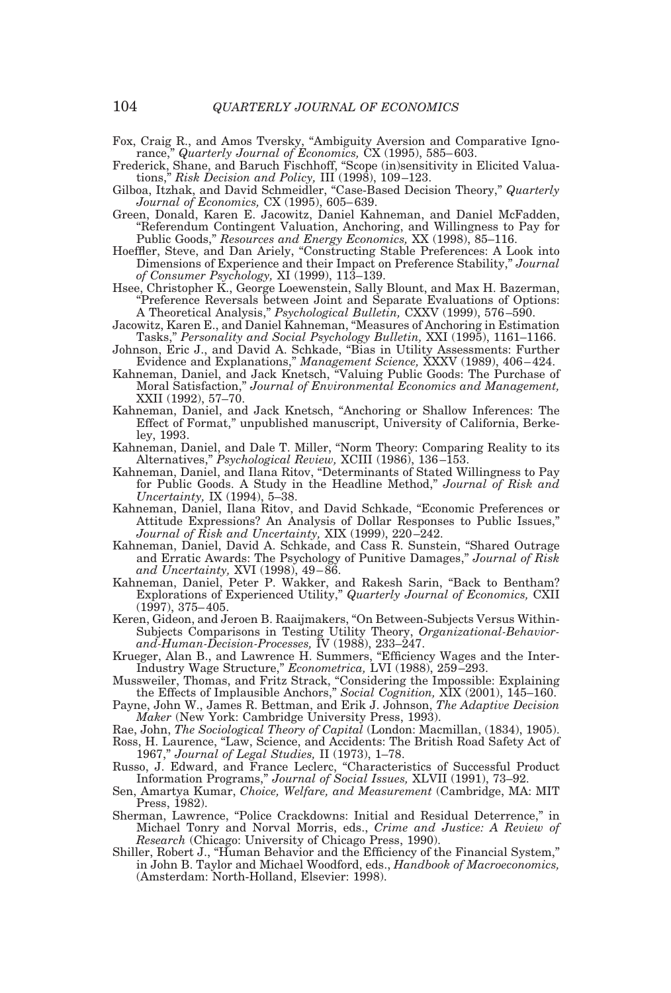Fox, Craig R., and Amos Tversky, "Ambiguity Aversion and Comparative Ignorance," *Quarterly Journal of Economics,* CX (1995), 585–603.

Frederick, Shane, and Baruch Fischhoff, "Scope (in)sensitivity in Elicited Valuations," *Risk Decision and Policy,* III (1998), 109–123.

- Gilboa, Itzhak, and David Schmeidler, "Case-Based Decision Theory," *Quarterly Journal of Economics,* CX (1995), 605–639.
- Green, Donald, Karen E. Jacowitz, Daniel Kahneman, and Daniel McFadden, "Referendum Contingent Valuation, Anchoring, and Willingness to Pay for Public Goods," *Resources and Energy Economics,* XX (1998), 85–116.
- Hoeffler, Steve, and Dan Ariely, "Constructing Stable Preferences: A Look into Dimensions of Experience and their Impact on Preference Stability," *Journal of Consumer Psychology,* XI (1999), 113–139.
- Hsee, Christopher K., George Loewenstein, Sally Blount, and Max H. Bazerman, "Preference Reversals between Joint and Separate Evaluations of Options: A Theoretical Analysis," *Psychological Bulletin,* CXXV (1999), 576–590.
- Jacowitz, Karen E., and Daniel Kahneman, "Measures of Anchoring in Estimation Tasks," *Personality and Social Psychology Bulletin,* XXI (1995), 1161–1166.
- Johnson, Eric J., and David A. Schkade, "Bias in Utility Assessments: Further Evidence and Explanations," *Management Science,* XXXV (1989), 406–424.
- Kahneman, Daniel, and Jack Knetsch, "Valuing Public Goods: The Purchase of Moral Satisfaction," *Journal of Environmental Economics and Management,* XXII (1992), 57–70.
- Kahneman, Daniel, and Jack Knetsch, "Anchoring or Shallow Inferences: The Effect of Format," unpublished manuscript, University of California, Berkeley, 1993.
- Kahneman, Daniel, and Dale T. Miller, "Norm Theory: Comparing Reality to its Alternatives," *Psychological Review,* XCIII (1986), 136–153.
- Kahneman, Daniel, and Ilana Ritov, "Determinants of Stated Willingness to Pay for Public Goods. A Study in the Headline Method," *Journal of Risk and Uncertainty,* IX (1994), 5–38.
- Kahneman, Daniel, Ilana Ritov, and David Schkade, "Economic Preferences or Attitude Expressions? An Analysis of Dollar Responses to Public Issues," *Journal of Risk and Uncertainty,* XIX (1999), 220–242.
- Kahneman, Daniel, David A. Schkade, and Cass R. Sunstein, "Shared Outrage and Erratic Awards: The Psychology of Punitive Damages," *Journal of Risk and Uncertainty,* XVI (1998), 49–86.
- Kahneman, Daniel, Peter P. Wakker, and Rakesh Sarin, "Back to Bentham? Explorations of Experienced Utility," *Quarterly Journal of Economics,* CXII (1997), 375–405.
- Keren, Gideon, and Jeroen B. Raaijmakers, "On Between-Subjects Versus Within-Subjects Comparisons in Testing Utility Theory, *Organizational-Behaviorand-Human-Decision-Processes,* IV (1988), 233–247.
- Krueger, Alan B., and Lawrence H. Summers, "Efficiency Wages and the Inter-Industry Wage Structure," *Econometrica,* LVI (1988), 259–293.
- Mussweiler, Thomas, and Fritz Strack, "Considering the Impossible: Explaining the Effects of Implausible Anchors," *Social Cognition,* XIX (2001), 145–160.
- Payne, John W., James R. Bettman, and Erik J. Johnson, *The Adaptive Decision Maker* (New York: Cambridge University Press, 1993).
- Rae, John, *The Sociological Theory of Capital* (London: Macmillan, (1834), 1905).
- Ross, H. Laurence, "Law, Science, and Accidents: The British Road Safety Act of 1967," *Journal of Legal Studies,* II (1973), 1–78.
- Russo, J. Edward, and France Leclerc, "Characteristics of Successful Product Information Programs," *Journal of Social Issues,* XLVII (1991), 73–92.
- Sen, Amartya Kumar, *Choice, Welfare, and Measurement* (Cambridge, MA: MIT Press, 1982).
- Sherman, Lawrence, "Police Crackdowns: Initial and Residual Deterrence," in Michael Tonry and Norval Morris, eds., *Crime and Justice: A Review of Research* (Chicago: University of Chicago Press, 1990).
- Shiller, Robert J., "Human Behavior and the Efficiency of the Financial System," in John B. Taylor and Michael Woodford, eds., *Handbook of Macroeconomics,* (Amsterdam: North-Holland, Elsevier: 1998).